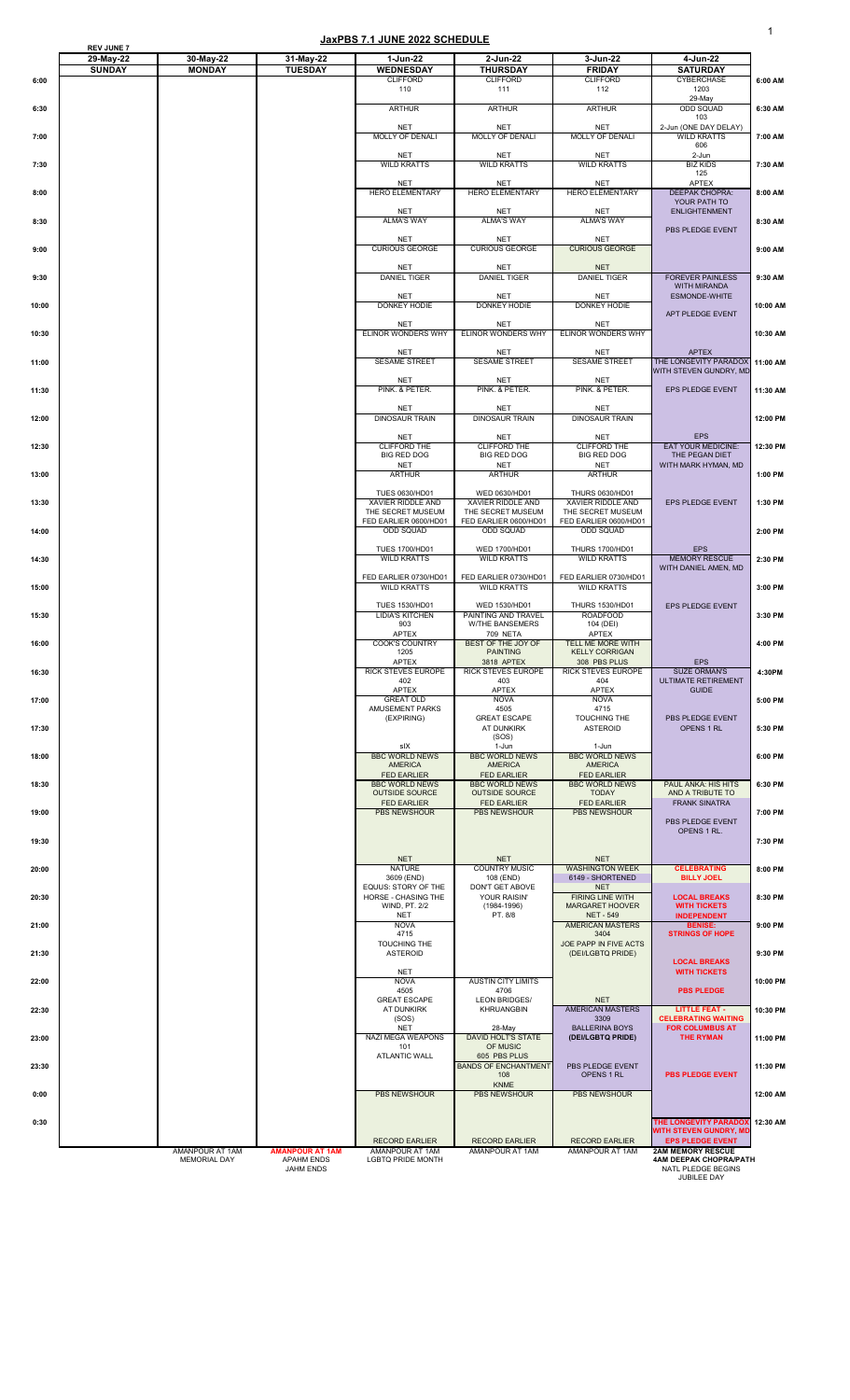1

|              | <b>REV JUNE 7</b><br>29-May-22 | 30-May-22                                     | 31-May-22                                                       | 1-Jun-22                                                               | 2-Jun-22                                                             | 3-Jun-22                                                              | 4-Jun-22                                                                                       |                    |
|--------------|--------------------------------|-----------------------------------------------|-----------------------------------------------------------------|------------------------------------------------------------------------|----------------------------------------------------------------------|-----------------------------------------------------------------------|------------------------------------------------------------------------------------------------|--------------------|
| 6:00         | <b>SUNDAY</b>                  | <b>MONDAY</b>                                 | <b>TUESDAY</b>                                                  | <b>WEDNESDAY</b><br><b>CLIFFORD</b><br>110                             | <b>THURSDAY</b><br><b>CLIFFORD</b><br>111                            | <b>FRIDAY</b><br><b>CLIFFORD</b><br>112                               | <b>SATURDAY</b><br><b>CYBERCHASE</b><br>1203                                                   | 6:00 AM            |
| 6:30         |                                |                                               |                                                                 | <b>ARTHUR</b>                                                          | <b>ARTHUR</b>                                                        | <b>ARTHUR</b>                                                         | 29-May<br><b>ODD SQUAD</b>                                                                     | 6:30 AM            |
|              |                                |                                               |                                                                 | <b>NET</b><br><b>MOLLY OF DENALI</b>                                   | <b>NET</b><br><b>MOLLY OF DENALI</b>                                 | <b>NET</b><br><b>MOLLY OF DENALI</b>                                  | 103<br>2-Jun (ONE DAY DELAY)<br><b>WILD KRATTS</b>                                             |                    |
| 7:00<br>7:30 |                                |                                               |                                                                 | <b>NET</b><br><b>WILD KRATTS</b>                                       | <b>NET</b><br><b>WILD KRATTS</b>                                     | <b>NET</b><br><b>WILD KRATTS</b>                                      | 606<br>$2-Jun$<br><b>BIZ KIDS</b>                                                              | 7:00 AM<br>7:30 AM |
|              |                                |                                               |                                                                 | <b>NET</b>                                                             | <b>NET</b>                                                           | <b>NET</b>                                                            | 125<br><b>APTEX</b>                                                                            |                    |
| 8:00         |                                |                                               |                                                                 | <b>HERO ELEMENTARY</b><br><b>NET</b>                                   | <b>HERO ELEMENTARY</b><br><b>NET</b>                                 | <b>HERO ELEMENTARY</b><br><b>NET</b>                                  | <b>DEEPAK CHOPRA:</b><br>YOUR PATH TO<br><b>ENLIGHTENMENT</b>                                  | 8:00 AM            |
| 8:30         |                                |                                               |                                                                 | <b>ALMA'S WAY</b><br><b>NET</b>                                        | <b>ALMA'S WAY</b><br><b>NET</b>                                      | <b>ALMA'S WAY</b><br><b>NET</b>                                       | PBS PLEDGE EVENT                                                                               | 8:30 AM            |
| 9:00         |                                |                                               |                                                                 | <b>CURIOUS GEORGE</b><br><b>NET</b>                                    | <b>CURIOUS GEORGE</b><br><b>NET</b>                                  | <b>CURIOUS GEORGE</b><br><b>NET</b>                                   |                                                                                                | 9:00 AM            |
| 9:30         |                                |                                               |                                                                 | <b>DANIEL TIGER</b>                                                    | <b>DANIEL TIGER</b>                                                  | <b>DANIEL TIGER</b>                                                   | <b>FOREVER PAINLESS</b><br><b>WITH MIRANDA</b>                                                 | 9:30 AM            |
| 10:00        |                                |                                               |                                                                 | <b>NET</b><br>DONKEY HODIE                                             | <b>NET</b><br>DONKEY HODIE                                           | <b>NET</b><br>DONKEY HODIE                                            | <b>ESMONDE-WHITE</b><br>APT PLEDGE EVENT                                                       | 10:00 AM           |
| 10:30        |                                |                                               |                                                                 | <b>NET</b><br><b>ELINOR WONDERS WHY</b>                                | <b>NET</b><br><b>ELINOR WONDERS WHY</b>                              | <b>NET</b><br><b>ELINOR WONDERS WHY</b>                               |                                                                                                | 10:30 AM           |
| 11:00        |                                |                                               |                                                                 | <b>NET</b><br><b>SESAME STREET</b>                                     | <b>NET</b><br><b>SESAME STREET</b>                                   | <b>NET</b><br><b>SESAME STREET</b>                                    | <b>APTEX</b><br>THE LONGEVITY PARADOX 11:00 AM<br>WITH STEVEN GUNDRY, MD                       |                    |
| 11:30        |                                |                                               |                                                                 | <b>NET</b><br>PINK. & PETER.                                           | <b>NET</b><br>PINK. & PETER.                                         | <b>NET</b><br>PINK. & PETER.                                          | <b>EPS PLEDGE EVENT</b>                                                                        | 11:30 AM           |
| 12:00        |                                |                                               |                                                                 | <b>NET</b><br><b>DINOSAUR TRAIN</b>                                    | <b>NET</b><br><b>DINOSAUR TRAIN</b>                                  | <b>NET</b><br><b>DINOSAUR TRAIN</b>                                   |                                                                                                | 12:00 PM           |
| 12:30        |                                |                                               |                                                                 | <b>NET</b><br><b>CLIFFORD THE</b>                                      | <b>NET</b><br><b>CLIFFORD THE</b>                                    | <b>NET</b><br><b>CLIFFORD THE</b>                                     | <b>EPS</b><br><b>EAT YOUR MEDICINE:</b>                                                        | 12:30 PM           |
| 13:00        |                                |                                               |                                                                 | <b>BIG RED DOG</b><br><b>NET</b><br><b>ARTHUR</b>                      | <b>BIG RED DOG</b><br><b>NET</b><br><b>ARTHUR</b>                    | <b>BIG RED DOG</b><br><b>NET</b><br><b>ARTHUR</b>                     | THE PEGAN DIET<br>WITH MARK HYMAN, MD                                                          | 1:00 PM            |
| 13:30        |                                |                                               |                                                                 | <b>TUES 0630/HD01</b><br>XAVIER RIDDLE AND                             | WED 0630/HD01<br>XAVIER RIDDLE AND                                   | <b>THURS 0630/HD01</b><br>XAVIER RIDDLE AND                           | <b>EPS PLEDGE EVENT</b>                                                                        | 1:30 PM            |
| 14:00        |                                |                                               |                                                                 | THE SECRET MUSEUM<br>FED EARLIER 0600/HD01<br><b>ODD SQUAD</b>         | THE SECRET MUSEUM<br>FED EARLIER 0600/HD01<br><b>ODD SQUAD</b>       | THE SECRET MUSEUM<br>FED EARLIER 0600/HD01<br><b>ODD SQUAD</b>        |                                                                                                | 2:00 PM            |
|              |                                |                                               |                                                                 | <b>TUES 1700/HD01</b>                                                  | WED 1700/HD01                                                        | <b>THURS 1700/HD01</b>                                                | <b>EPS</b>                                                                                     |                    |
| 14:30        |                                |                                               |                                                                 | <b>WILD KRATTS</b><br>FED EARLIER 0730/HD01                            | <b>WILD KRATTS</b><br>FED EARLIER 0730/HD01                          | <b>WILD KRATTS</b><br>FED EARLIER 0730/HD01                           | <b>MEMORY RESCUE</b><br>WITH DANIEL AMEN, MD                                                   | 2:30 PM            |
| 15:00        |                                |                                               |                                                                 | <b>WILD KRATTS</b><br><b>TUES 1530/HD01</b>                            | <b>WILD KRATTS</b><br>WED 1530/HD01                                  | <b>WILD KRATTS</b><br><b>THURS 1530/HD01</b>                          | <b>EPS PLEDGE EVENT</b>                                                                        | 3:00 PM            |
| 15:30        |                                |                                               |                                                                 | <b>LIDIA'S KITCHEN</b><br>903<br><b>APTEX</b>                          | PAINTING AND TRAVEL<br><b>W/THE BANSEMERS</b><br>709 NETA            | <b>ROADFOOD</b><br>104 (DEI)<br><b>APTEX</b>                          |                                                                                                | 3:30 PM            |
| 16:00        |                                |                                               |                                                                 | <b>COOK'S COUNTRY</b><br>1205<br><b>APTEX</b>                          | BEST OF THE JOY OF<br><b>PAINTING</b><br>3818 APTEX                  | <b>TELL ME MORE WITH</b><br><b>KELLY CORRIGAN</b><br>308 PBS PLUS     | <b>EPS</b>                                                                                     | 4:00 PM            |
| 16:30        |                                |                                               |                                                                 | <b>RICK STEVES EUROPE</b><br>402<br>APTEX                              | <b>RICK STEVES EUROPE</b><br>403<br><b>APTEX</b>                     | <b>RICK STEVES EUROPE</b><br>404                                      | <b>SUZE ORMAN'S</b><br><b>ULTIMATE RETIREMENT</b>                                              | 4:30PM             |
| 17:00        |                                |                                               |                                                                 | <b>GREAT OLD</b><br><b>AMUSEMENT PARKS</b>                             | <b>NOVA</b><br>4505                                                  | <b>APTEX</b><br><b>NOVA</b><br>4715                                   | <b>GUIDE</b>                                                                                   | 5:00 PM            |
| 17:30        |                                |                                               |                                                                 | (EXPIRING)                                                             | <b>GREAT ESCAPE</b><br><b>AT DUNKIRK</b><br>(SOS)                    | TOUCHING THE<br><b>ASTEROID</b>                                       | PBS PLEDGE EVENT<br>OPENS 1 RL                                                                 | 5:30 PM            |
| 18:00        |                                |                                               |                                                                 | sIX<br><b>BBC WORLD NEWS</b><br><b>AMERICA</b>                         | 1-Jun<br><b>BBC WORLD NEWS</b><br><b>AMERICA</b>                     | 1-Jun<br><b>BBC WORLD NEWS</b><br><b>AMERICA</b>                      |                                                                                                | 6:00 PM            |
| 18:30        |                                |                                               |                                                                 | <b>FED EARLIER</b><br><b>BBC WORLD NEWS</b><br><b>OUTSIDE SOURCE</b>   | <b>FED EARLIER</b><br><b>BBC WORLD NEWS</b><br><b>OUTSIDE SOURCE</b> | <b>FED EARLIER</b><br><b>BBC WORLD NEWS</b><br><b>TODAY</b>           | PAUL ANKA: HIS HITS<br>AND A TRIBUTE TO                                                        | 6:30 PM            |
| 19:00        |                                |                                               |                                                                 | <b>FED EARLIER</b><br><b>PBS NEWSHOUR</b>                              | <b>FED EARLIER</b><br><b>PBS NEWSHOUR</b>                            | <b>FED EARLIER</b><br><b>PBS NEWSHOUR</b>                             | <b>FRANK SINATRA</b><br>PBS PLEDGE EVENT                                                       | 7:00 PM            |
| 19:30        |                                |                                               |                                                                 |                                                                        |                                                                      |                                                                       | OPENS 1 RL.                                                                                    | 7:30 PM            |
| 20:00        |                                |                                               |                                                                 | <b>NET</b><br><b>NATURE</b>                                            | <b>NET</b><br><b>COUNTRY MUSIC</b>                                   | <b>NET</b><br><b>WASHINGTON WEEK</b>                                  | <b>CELEBRATING</b><br><b>BILLY JOEL</b>                                                        | 8:00 PM            |
| 20:30        |                                |                                               |                                                                 | 3609 (END)<br><b>EQUUS: STORY OF THE</b><br><b>HORSE - CHASING THE</b> | 108 (END)<br><b>DON'T GET ABOVE</b><br>YOUR RAISIN'                  | 6149 - SHORTENED<br><b>NET</b><br><b>FIRING LINE WITH</b>             | <b>LOCAL BREAKS</b>                                                                            | 8:30 PM            |
| 21:00        |                                |                                               |                                                                 | <b>WIND, PT. 2/2</b><br><b>NET</b><br><b>NOVA</b>                      | $(1984 - 1996)$<br>PT. 8/8                                           | <b>MARGARET HOOVER</b><br><b>NET - 549</b><br><b>AMERICAN MASTERS</b> | <b>WITH TICKETS</b><br><b>INDEPENDENT</b><br><b>BENISE:</b>                                    | 9:00 PM            |
| 21:30        |                                |                                               |                                                                 | 4715<br>TOUCHING THE<br><b>ASTEROID</b>                                |                                                                      | 3404<br>JOE PAPP IN FIVE ACTS<br>(DEI/LGBTQ PRIDE)                    | <b>STRINGS OF HOPE</b>                                                                         | 9:30 PM            |
| 22:00        |                                |                                               |                                                                 | <b>NET</b><br><b>NOVA</b>                                              | <b>AUSTIN CITY LIMITS</b>                                            |                                                                       | <b>LOCAL BREAKS</b><br><b>WITH TICKETS</b>                                                     | 10:00 PM           |
|              |                                |                                               |                                                                 | 4505<br><b>GREAT ESCAPE</b>                                            | 4706<br><b>LEON BRIDGES/</b>                                         | <b>NET</b>                                                            | <b>PBS PLEDGE</b>                                                                              |                    |
| 22:30        |                                |                                               |                                                                 | <b>AT DUNKIRK</b><br>(SOS)<br><b>NET</b>                               | <b>KHRUANGBIN</b><br>28-May                                          | <b>AMERICAN MASTERS</b><br>3309<br><b>BALLERINA BOYS</b>              | <b>LITTLE FEAT -</b><br><b>CELEBRATING WAITING</b><br><b>FOR COLUMBUS AT</b>                   | 10:30 PM           |
| 23:00        |                                |                                               |                                                                 | <b>NAZI MEGA WEAPONS</b><br>101<br><b>ATLANTIC WALL</b>                | <b>DAVID HOLT'S STATE</b><br>OF MUSIC<br>605 PBS PLUS                | (DEI/LGBTQ PRIDE)                                                     | <b>THE RYMAN</b>                                                                               | 11:00 PM           |
| 23:30        |                                |                                               |                                                                 |                                                                        | <b>BANDS OF ENCHANTMENT</b><br>108<br><b>KNME</b>                    | PBS PLEDGE EVENT<br>OPENS 1 RL                                        | <b>PBS PLEDGE EVENT</b>                                                                        | 11:30 PM           |
| 0:00         |                                |                                               |                                                                 | <b>PBS NEWSHOUR</b>                                                    | <b>PBS NEWSHOUR</b>                                                  | <b>PBS NEWSHOUR</b>                                                   |                                                                                                | 12:00 AM           |
| 0:30         |                                |                                               |                                                                 | <b>RECORD EARLIER</b>                                                  | <b>RECORD EARLIER</b>                                                | <b>RECORD EARLIER</b>                                                 | THE LONGEVITY PARADOX<br><b>WITH STEVEN GUNDRY, MD</b><br><b>EPS PLEDGE EVENT</b>              | 12:30 AM           |
|              |                                | <b>AMANPOUR AT 1AM</b><br><b>MEMORIAL DAY</b> | <b>AMANPOUR AT 1AM</b><br><b>APAHM ENDS</b><br><b>JAHM ENDS</b> | AMANPOUR AT 1AM<br><b>LGBTQ PRIDE MONTH</b>                            | AMANPOUR AT 1AM                                                      | AMANPOUR AT 1AM                                                       | <b>2AM MEMORY RESCUE</b><br><b>4AM DEEPAK CHOPRA/PATH</b><br>NATL PLEDGE BEGINS<br>JUBILEE DAY |                    |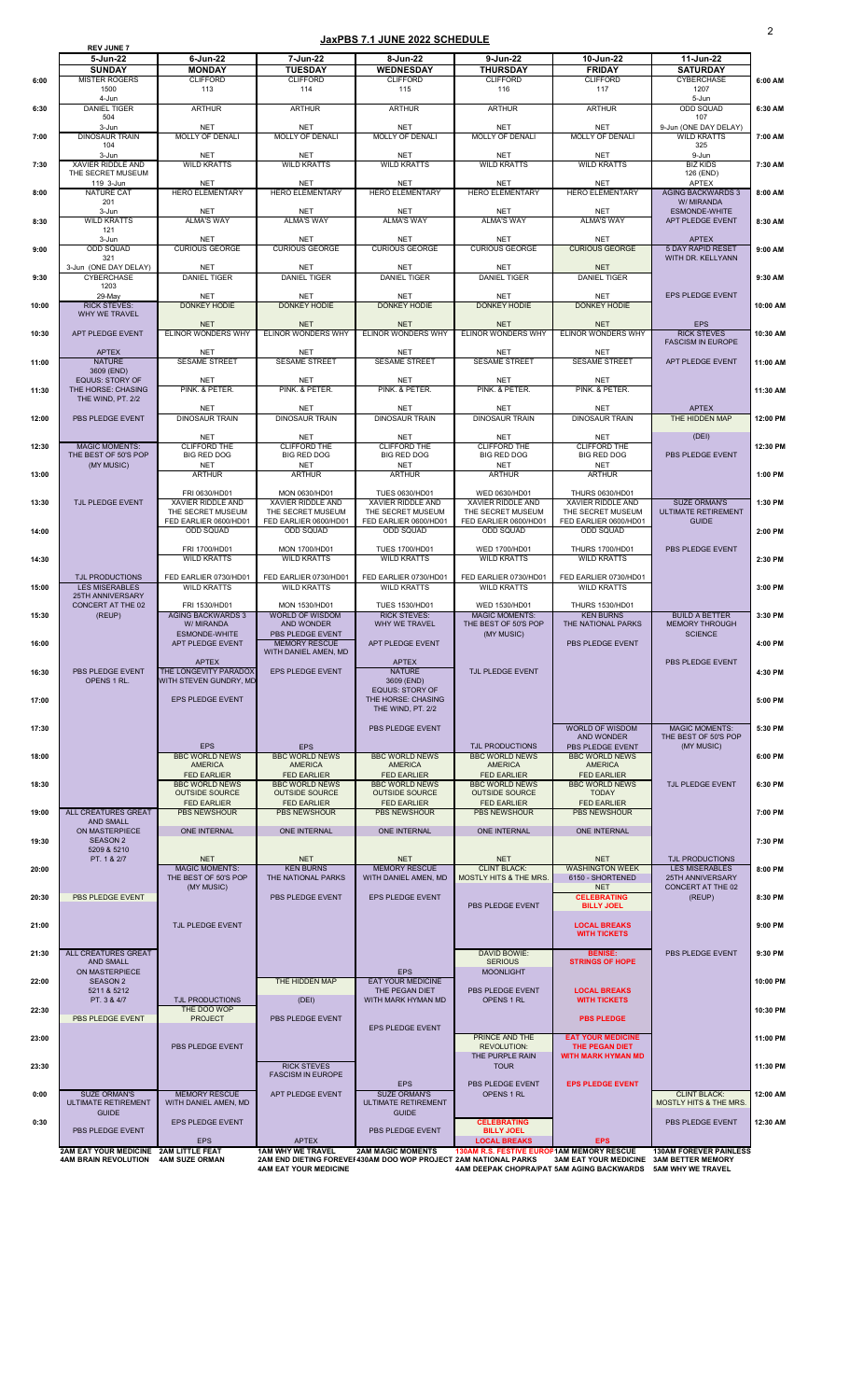|       | <b>REV JUNE 7</b>                               |                                                 |                                              |                                                                  |                                                                          |                                             |                                                  |          |
|-------|-------------------------------------------------|-------------------------------------------------|----------------------------------------------|------------------------------------------------------------------|--------------------------------------------------------------------------|---------------------------------------------|--------------------------------------------------|----------|
|       | 5-Jun-22                                        | $6$ -Jun-22                                     | 7-Jun-22                                     | 8-Jun-22                                                         | 9-Jun-22                                                                 | 10-Jun-22                                   | 11-Jun-22                                        |          |
|       | <b>SUNDAY</b>                                   | <b>MONDAY</b>                                   | <b>TUESDAY</b>                               | <b>WEDNESDAY</b>                                                 | <b>THURSDAY</b>                                                          | <b>FRIDAY</b>                               | <b>SATURDAY</b>                                  |          |
| 6:00  | <b>MISTER ROGERS</b><br>1500                    | <b>CLIFFORD</b><br>113                          | <b>CLIFFORD</b><br>114                       | <b>CLIFFORD</b><br>115                                           | <b>CLIFFORD</b><br>116                                                   | <b>CLIFFORD</b><br>117                      | <b>CYBERCHASE</b><br>1207                        | 6:00 AM  |
|       | 4-Jun                                           |                                                 |                                              |                                                                  |                                                                          |                                             | 5-Jun                                            |          |
| 6:30  | <b>DANIEL TIGER</b><br>504                      | <b>ARTHUR</b>                                   | <b>ARTHUR</b>                                | <b>ARTHUR</b>                                                    | <b>ARTHUR</b>                                                            | <b>ARTHUR</b>                               | <b>ODD SQUAD</b><br>107                          | 6:30 AM  |
|       | 3-Jun                                           | <b>NET</b>                                      | <b>NET</b>                                   | <b>NET</b>                                                       | <b>NET</b>                                                               | <b>NET</b>                                  | 9-Jun (ONE DAY DELAY)                            |          |
| 7:00  | <b>DINOSAUR TRAIN</b>                           | <b>MOLLY OF DENALI</b>                          | <b>MOLLY OF DENALI</b>                       | <b>MOLLY OF DENALI</b>                                           | <b>MOLLY OF DENALI</b>                                                   | <b>MOLLY OF DENALI</b>                      | <b>WILD KRATTS</b>                               | 7:00 AM  |
|       | 104<br>3-Jun                                    | <b>NET</b>                                      | <b>NET</b>                                   | <b>NET</b>                                                       | <b>NET</b>                                                               | <b>NET</b>                                  | 325<br>9-Jun                                     |          |
| 7:30  | <b>XAVIER RIDDLE AND</b>                        | <b>WILD KRATTS</b>                              | <b>WILD KRATTS</b>                           | <b>WILD KRATTS</b>                                               | <b>WILD KRATTS</b>                                                       | <b>WILD KRATTS</b>                          | <b>BIZ KIDS</b>                                  | 7:30 AM  |
|       | THE SECRET MUSEUM<br>119 3-Jun                  | <b>NET</b>                                      | <b>NET</b>                                   | <b>NET</b>                                                       | <b>NET</b>                                                               | <b>NET</b>                                  | 126 (END)<br><b>APTEX</b>                        |          |
| 8:00  | <b>NATURE CAT</b>                               | <b>HERO ELEMENTARY</b>                          | <b>HERO ELEMENTARY</b>                       | <b>HERO ELEMENTARY</b>                                           | <b>HERO ELEMENTARY</b>                                                   | <b>HERO ELEMENTARY</b>                      | <b>AGING BACKWARDS 3</b>                         | 8:00 AM  |
|       | 201                                             |                                                 |                                              |                                                                  |                                                                          |                                             | W/ MIRANDA                                       |          |
| 8:30  | 3-Jun<br><b>WILD KRATTS</b>                     | <b>NET</b><br><b>ALMA'S WAY</b>                 | <b>NET</b><br><b>ALMA'S WAY</b>              | <b>NET</b><br><b>ALMA'S WAY</b>                                  | <b>NET</b><br><b>ALMA'S WAY</b>                                          | <b>NET</b><br><b>ALMA'S WAY</b>             | <b>ESMONDE-WHITE</b><br>APT PLEDGE EVENT         | 8:30 AM  |
|       | 121                                             |                                                 |                                              |                                                                  |                                                                          |                                             |                                                  |          |
|       | 3-Jun<br><b>ODD SQUAD</b>                       | <b>NET</b><br><b>CURIOUS GEORGE</b>             | <b>NET</b><br><b>CURIOUS GEORGE</b>          | <b>NET</b><br><b>CURIOUS GEORGE</b>                              | <b>NET</b><br><b>CURIOUS GEORGE</b>                                      | <b>NET</b><br><b>CURIOUS GEORGE</b>         | <b>APTEX</b><br><b>5 DAY RAPID RESET</b>         |          |
| 9:00  | 321                                             |                                                 |                                              |                                                                  |                                                                          |                                             | WITH DR. KELLYANN                                | 9:00 AM  |
|       | 3-Jun (ONE DAY DELAY)                           | <b>NET</b>                                      | <b>NET</b>                                   | <b>NET</b>                                                       | <b>NET</b>                                                               | <b>NET</b>                                  |                                                  |          |
| 9:30  | <b>CYBERCHASE</b><br>1203                       | <b>DANIEL TIGER</b>                             | <b>DANIEL TIGER</b>                          | <b>DANIEL TIGER</b>                                              | <b>DANIEL TIGER</b>                                                      | <b>DANIEL TIGER</b>                         |                                                  | 9:30 AM  |
|       | 29-May                                          | <b>NET</b>                                      | <b>NET</b>                                   | <b>NET</b>                                                       | <b>NET</b>                                                               | <b>NET</b>                                  | EPS PLEDGE EVENT                                 |          |
| 10:00 | <b>RICK STEVES:</b><br><b>WHY WE TRAVEL</b>     | <b>DONKEY HODIE</b>                             | <b>DONKEY HODIE</b>                          | <b>DONKEY HODIE</b>                                              | <b>DONKEY HODIE</b>                                                      | <b>DONKEY HODIE</b>                         |                                                  | 10:00 AM |
|       |                                                 | <b>NET</b>                                      | <b>NET</b>                                   | <b>NET</b>                                                       | <b>NET</b>                                                               | <b>NET</b>                                  | <b>EPS</b>                                       |          |
| 10:30 | APT PLEDGE EVENT                                | <b>ELINOR WONDERS WHY</b>                       | <b>ELINOR WONDERS WHY</b>                    | <b>ELINOR WONDERS WHY</b>                                        | ELINOR WONDERS WHY                                                       | <b>ELINOR WONDERS WHY</b>                   | <b>RICK STEVES</b>                               | 10:30 AM |
|       | <b>APTEX</b>                                    | <b>NET</b>                                      | <b>NET</b>                                   | <b>NET</b>                                                       | <b>NET</b>                                                               | <b>NET</b>                                  | <b>FASCISM IN EUROPE</b>                         |          |
| 11:00 | <b>NATURE</b>                                   | <b>SESAME STREET</b>                            | <b>SESAME STREET</b>                         | <b>SESAME STREET</b>                                             | <b>SESAME STREET</b>                                                     | <b>SESAME STREET</b>                        | APT PLEDGE EVENT                                 | 11:00 AM |
|       | 3609 (END)                                      |                                                 |                                              |                                                                  |                                                                          |                                             |                                                  |          |
| 11:30 | <b>EQUUS: STORY OF</b><br>THE HORSE: CHASING    | <b>NET</b><br>PINK. & PETER.                    | <b>NET</b><br>PINK. & PETER.                 | <b>NET</b><br>PINK. & PETER.                                     | <b>NET</b><br>PINK. & PETER.                                             | <b>NET</b><br>PINK. & PETER.                |                                                  | 11:30 AM |
|       | THE WIND, PT. 2/2                               |                                                 |                                              |                                                                  |                                                                          |                                             |                                                  |          |
|       |                                                 | <b>NET</b><br><b>DINOSAUR TRAIN</b>             | <b>NET</b><br><b>DINOSAUR TRAIN</b>          | <b>NET</b><br><b>DINOSAUR TRAIN</b>                              | <b>NET</b><br><b>DINOSAUR TRAIN</b>                                      | <b>NET</b><br><b>DINOSAUR TRAIN</b>         | <b>APTEX</b><br>THE HIDDEN MAP                   |          |
| 12:00 | PBS PLEDGE EVENT                                |                                                 |                                              |                                                                  |                                                                          |                                             |                                                  | 12:00 PM |
|       |                                                 | <b>NET</b>                                      | <b>NET</b>                                   | <b>NET</b>                                                       | <b>NET</b>                                                               | <b>NET</b>                                  | (DEI)                                            |          |
| 12:30 | <b>MAGIC MOMENTS:</b><br>THE BEST OF 50'S POP   | <b>CLIFFORD THE</b><br><b>BIG RED DOG</b>       | <b>CLIFFORD THE</b><br><b>BIG RED DOG</b>    | <b>CLIFFORD THE</b><br><b>BIG RED DOG</b>                        | <b>CLIFFORD THE</b><br><b>BIG RED DOG</b>                                | <b>CLIFFORD THE</b><br><b>BIG RED DOG</b>   | <b>PBS PLEDGE EVENT</b>                          | 12:30 PM |
|       | (MY MUSIC)                                      | <b>NET</b>                                      | <b>NET</b>                                   | <b>NET</b>                                                       | <b>NET</b>                                                               | <b>NET</b>                                  |                                                  |          |
| 13:00 |                                                 | <b>ARTHUR</b>                                   | <b>ARTHUR</b>                                | <b>ARTHUR</b>                                                    | <b>ARTHUR</b>                                                            | <b>ARTHUR</b>                               |                                                  | 1:00 PM  |
|       |                                                 | FRI 0630/HD01                                   | MON 0630/HD01                                | <b>TUES 0630/HD01</b>                                            | WED 0630/HD01                                                            | <b>THURS 0630/HD01</b>                      |                                                  |          |
| 13:30 | TJL PLEDGE EVENT                                | XAVIER RIDDLE AND                               | XAVIER RIDDLE AND                            | XAVIER RIDDLE AND                                                | <b>XAVIER RIDDLE AND</b>                                                 | <b>XAVIER RIDDLE AND</b>                    | <b>SUZE ORMAN'S</b>                              | 1:30 PM  |
|       |                                                 | THE SECRET MUSEUM<br>FED EARLIER 0600/HD01      | THE SECRET MUSEUM<br>FED EARLIER 0600/HD01   | THE SECRET MUSEUM<br>FED EARLIER 0600/HD01                       | THE SECRET MUSEUM<br>FED EARLIER 0600/HD01                               | THE SECRET MUSEUM<br>FED EARLIER 0600/HD01  | <b>ULTIMATE RETIREMENT</b><br><b>GUIDE</b>       |          |
| 14:00 |                                                 | <b>ODD SQUAD</b>                                | <b>ODD SQUAD</b>                             | <b>ODD SQUAD</b>                                                 | <b>ODD SQUAD</b>                                                         | <b>ODD SQUAD</b>                            |                                                  | 2:00 PM  |
|       |                                                 | FRI 1700/HD01                                   | <b>MON 1700/HD01</b>                         | <b>TUES 1700/HD01</b>                                            | WED 1700/HD01                                                            | <b>THURS 1700/HD01</b>                      | PBS PLEDGE EVENT                                 |          |
| 14:30 |                                                 | <b>WILD KRATTS</b>                              | <b>WILD KRATTS</b>                           | <b>WILD KRATTS</b>                                               | <b>WILD KRATTS</b>                                                       | <b>WILD KRATTS</b>                          |                                                  | 2:30 PM  |
|       |                                                 |                                                 |                                              |                                                                  |                                                                          |                                             |                                                  |          |
| 15:00 | <b>TJL PRODUCTIONS</b><br><b>LES MISERABLES</b> | FED EARLIER 0730/HD01<br><b>WILD KRATTS</b>     | FED EARLIER 0730/HD01<br><b>WILD KRATTS</b>  | FED EARLIER 0730/HD01<br><b>WILD KRATTS</b>                      | FED EARLIER 0730/HD01<br><b>WILD KRATTS</b>                              | FED EARLIER 0730/HD01<br><b>WILD KRATTS</b> |                                                  | 3:00 PM  |
|       | <b>25TH ANNIVERSARY</b>                         |                                                 |                                              |                                                                  |                                                                          |                                             |                                                  |          |
|       | <b>CONCERT AT THE 02</b>                        | FRI 1530/HD01<br><b>AGING BACKWARDS 3</b>       | MON 1530/HD01<br><b>WORLD OF WISDOM</b>      | <b>TUES 1530/HD01</b><br><b>RICK STEVES:</b>                     | WED 1530/HD01<br><b>MAGIC MOMENTS:</b>                                   | <b>THURS 1530/HD01</b><br><b>KEN BURNS</b>  | <b>BUILD A BETTER</b>                            | 3:30 PM  |
| 15:30 | (REUP)                                          | W/ MIRANDA                                      | <b>AND WONDER</b>                            | WHY WE TRAVEL                                                    | THE BEST OF 50'S POP                                                     | THE NATIONAL PARKS                          | <b>MEMORY THROUGH</b>                            |          |
|       |                                                 | <b>ESMONDE-WHITE</b>                            | PBS PLEDGE EVENT                             |                                                                  | (MY MUSIC)                                                               |                                             | <b>SCIENCE</b>                                   |          |
| 16:00 |                                                 | APT PLEDGE EVENT                                | <b>MEMORY RESCUE</b><br>WITH DANIEL AMEN, MD | APT PLEDGE EVENT                                                 |                                                                          | PBS PLEDGE EVENT                            |                                                  | 4:00 PM  |
|       |                                                 | <b>APTEX</b>                                    |                                              | <b>APTEX</b>                                                     |                                                                          |                                             | PBS PLEDGE EVENT                                 |          |
| 16:30 | PBS PLEDGE EVENT<br>OPENS 1 RL.                 | THE LONGEVITY PARADOX<br>WITH STEVEN GUNDRY, MD | <b>EPS PLEDGE EVENT</b>                      | <b>NATURE</b><br>3609 (END)                                      | TJL PLEDGE EVENT                                                         |                                             |                                                  | 4:30 PM  |
|       |                                                 |                                                 |                                              | <b>EQUUS: STORY OF</b>                                           |                                                                          |                                             |                                                  |          |
| 17:00 |                                                 | EPS PLEDGE EVENT                                |                                              | THE HORSE: CHASING                                               |                                                                          |                                             |                                                  | 5:00 PM  |
|       |                                                 |                                                 |                                              | THE WIND, PT. 2/2                                                |                                                                          |                                             |                                                  |          |
| 17:30 |                                                 |                                                 |                                              | PBS PLEDGE EVENT                                                 |                                                                          | <b>WORLD OF WISDOM</b>                      | <b>MAGIC MOMENTS:</b>                            | 5:30 PM  |
|       |                                                 | <b>EPS</b>                                      | <b>EPS</b>                                   |                                                                  | <b>TJL PRODUCTIONS</b>                                                   | AND WONDER<br>PBS PLEDGE EVENT              | THE BEST OF 50'S POP<br>(MY MUSIC)               |          |
| 18:00 |                                                 | <b>BBC WORLD NEWS</b>                           | <b>BBC WORLD NEWS</b>                        | <b>BBC WORLD NEWS</b>                                            | <b>BBC WORLD NEWS</b>                                                    | <b>BBC WORLD NEWS</b>                       |                                                  | 6:00 PM  |
|       |                                                 | <b>AMERICA</b>                                  | <b>AMERICA</b>                               | <b>AMERICA</b>                                                   | <b>AMERICA</b>                                                           | <b>AMERICA</b>                              |                                                  |          |
| 18:30 |                                                 | <b>FED EARLIER</b><br><b>BBC WORLD NEWS</b>     | <b>FED EARLIER</b><br><b>BBC WORLD NEWS</b>  | <b>FED EARLIER</b><br><b>BBC WORLD NEWS</b>                      | <b>FED EARLIER</b><br><b>BBC WORLD NEWS</b>                              | <b>FED EARLIER</b><br><b>BBC WORLD NEWS</b> | TJL PLEDGE EVENT                                 | 6:30 PM  |
|       |                                                 | <b>OUTSIDE SOURCE</b>                           | <b>OUTSIDE SOURCE</b>                        | <b>OUTSIDE SOURCE</b>                                            | <b>OUTSIDE SOURCE</b>                                                    | <b>TODAY</b>                                |                                                  |          |
|       | <b>ALL CREATURES GREAT</b>                      | <b>FED EARLIER</b><br><b>PBS NEWSHOUR</b>       | <b>FED EARLIER</b><br><b>PBS NEWSHOUR</b>    | <b>FED EARLIER</b><br><b>PBS NEWSHOUR</b>                        | <b>FED EARLIER</b><br><b>PBS NEWSHOUR</b>                                | <b>FED EARLIER</b><br><b>PBS NEWSHOUR</b>   |                                                  | 7:00 PM  |
| 19:00 | <b>AND SMALL</b>                                |                                                 |                                              |                                                                  |                                                                          |                                             |                                                  |          |
|       | ON MASTERPIECE                                  | <b>ONE INTERNAL</b>                             | <b>ONE INTERNAL</b>                          | <b>ONE INTERNAL</b>                                              | <b>ONE INTERNAL</b>                                                      | <b>ONE INTERNAL</b>                         |                                                  |          |
| 19:30 | <b>SEASON 2</b><br>5209 & 5210                  |                                                 |                                              |                                                                  |                                                                          |                                             |                                                  | 7:30 PM  |
|       | PT. 1 & 2/7                                     | <b>NET</b>                                      | <b>NET</b>                                   | <b>NET</b>                                                       | <b>NET</b>                                                               | <b>NET</b>                                  | <b>TJL PRODUCTIONS</b>                           |          |
| 20:00 |                                                 | <b>MAGIC MOMENTS:</b><br>THE BEST OF 50'S POP   | <b>KEN BURNS</b><br>THE NATIONAL PARKS       | <b>MEMORY RESCUE</b><br>WITH DANIEL AMEN, MD                     | <b>CLINT BLACK:</b><br><b>MOSTLY HITS &amp; THE MRS.</b>                 | <b>WASHINGTON WEEK</b><br>6150 - SHORTENED  | <b>LES MISERABLES</b><br><b>25TH ANNIVERSARY</b> | 8:00 PM  |
|       |                                                 | (MY MUSIC)                                      |                                              |                                                                  |                                                                          | <b>NET</b>                                  | <b>CONCERT AT THE 02</b>                         |          |
| 20:30 | PBS PLEDGE EVENT                                |                                                 | PBS PLEDGE EVENT                             | EPS PLEDGE EVENT                                                 |                                                                          | <b>CELEBRATING</b>                          | (REUP)                                           | 8:30 PM  |
|       |                                                 |                                                 |                                              |                                                                  | PBS PLEDGE EVENT                                                         | <b>BILLY JOEL</b>                           |                                                  |          |
| 21:00 |                                                 | TJL PLEDGE EVENT                                |                                              |                                                                  |                                                                          | <b>LOCAL BREAKS</b>                         |                                                  | 9:00 PM  |
|       |                                                 |                                                 |                                              |                                                                  |                                                                          | <b>WITH TICKETS</b>                         |                                                  |          |
| 21:30 | ALL CREATURES GREAT                             |                                                 |                                              |                                                                  | <b>DAVID BOWIE:</b>                                                      | <b>BENISE:</b>                              | PBS PLEDGE EVENT                                 | 9:30 PM  |
|       | <b>AND SMALL</b>                                |                                                 |                                              |                                                                  | <b>SERIOUS</b>                                                           | <b>STRINGS OF HOPE</b>                      |                                                  |          |
| 22:00 | ON MASTERPIECE<br><b>SEASON 2</b>               |                                                 | THE HIDDEN MAP                               | <b>EPS</b><br><b>EAT YOUR MEDICINE</b>                           | <b>MOONLIGHT</b>                                                         |                                             |                                                  | 10:00 PM |
|       | 5211 & 5212                                     |                                                 |                                              | THE PEGAN DIET                                                   | PBS PLEDGE EVENT                                                         | <b>LOCAL BREAKS</b>                         |                                                  |          |
|       | PT. 3 & 4/7                                     | <b>TJL PRODUCTIONS</b>                          | (DE)                                         | WITH MARK HYMAN MD                                               | OPENS 1 RL                                                               | <b>WITH TICKETS</b>                         |                                                  |          |
| 22:30 | PBS PLEDGE EVENT                                | THE DOO WOP<br><b>PROJECT</b>                   | PBS PLEDGE EVENT                             |                                                                  |                                                                          | <b>PBS PLEDGE</b>                           |                                                  | 10:30 PM |
|       |                                                 |                                                 |                                              | <b>EPS PLEDGE EVENT</b>                                          |                                                                          |                                             |                                                  |          |
| 23:00 |                                                 | PBS PLEDGE EVENT                                |                                              |                                                                  | PRINCE AND THE<br><b>REVOLUTION:</b>                                     | <b>EAT YOUR MEDICINE</b><br>THE PEGAN DIET  |                                                  | 11:00 PM |
|       |                                                 |                                                 |                                              |                                                                  | THE PURPLE RAIN                                                          | <b>WITH MARK HYMAN MD</b>                   |                                                  |          |
| 23:30 |                                                 |                                                 | <b>RICK STEVES</b>                           |                                                                  | <b>TOUR</b>                                                              |                                             |                                                  | 11:30 PM |
|       |                                                 |                                                 | <b>FASCISM IN EUROPE</b>                     | <b>EPS</b>                                                       | PBS PLEDGE EVENT                                                         | <b>EPS PLEDGE EVENT</b>                     |                                                  |          |
| 0:00  | <b>SUZE ORMAN'S</b>                             | <b>MEMORY RESCUE</b>                            | APT PLEDGE EVENT                             | <b>SUZE ORMAN'S</b>                                              | OPENS 1 RL                                                               |                                             | <b>CLINT BLACK:</b>                              | 12:00 AM |
|       | <b>ULTIMATE RETIREMENT</b>                      | WITH DANIEL AMEN, MD                            |                                              | <b>ULTIMATE RETIREMENT</b>                                       |                                                                          |                                             | <b>MOSTLY HITS &amp; THE MRS.</b>                |          |
| 0:30  | <b>GUIDE</b>                                    | <b>EPS PLEDGE EVENT</b>                         |                                              | <b>GUIDE</b>                                                     | <b>CELEBRATING</b>                                                       |                                             | PBS PLEDGE EVENT                                 | 12:30 AM |
|       | PBS PLEDGE EVENT                                |                                                 |                                              | <b>PBS PLEDGE EVENT</b>                                          | <b>BILLY JOEL</b>                                                        |                                             |                                                  |          |
|       | 2AM EAT YOUR MEDICINE 2AM LITTLE FEAT           | <b>EPS</b>                                      | <b>APTEX</b><br><b>1AM WHY WE TRAVEL</b>     | <b>2AM MAGIC MOMENTS</b>                                         | <b>LOCAL BREAKS</b><br><b>130AM R.S. FESTIVE EUROF 1AM MEMORY RESCUE</b> | <b>EPS</b>                                  | <b>130AM FOREVER PAINLESS</b>                    |          |
|       | <b>4AM BRAIN REVOLUTION</b>                     | <b>4AM SUZE ORMAN</b>                           |                                              | 2AM END DIETING FOREVEI 430AM DOO WOP PROJECT 2AM NATIONAL PARKS |                                                                          | 3AM EAT YOUR MEDICINE 3AM BETTER MEMORY     |                                                  |          |

**4AM EAT YOUR MEDICINE 4AM DEEPAK CHOPRA/PAT 5AM AGING BACKWARDS 5AM WHY WE TRAVEL**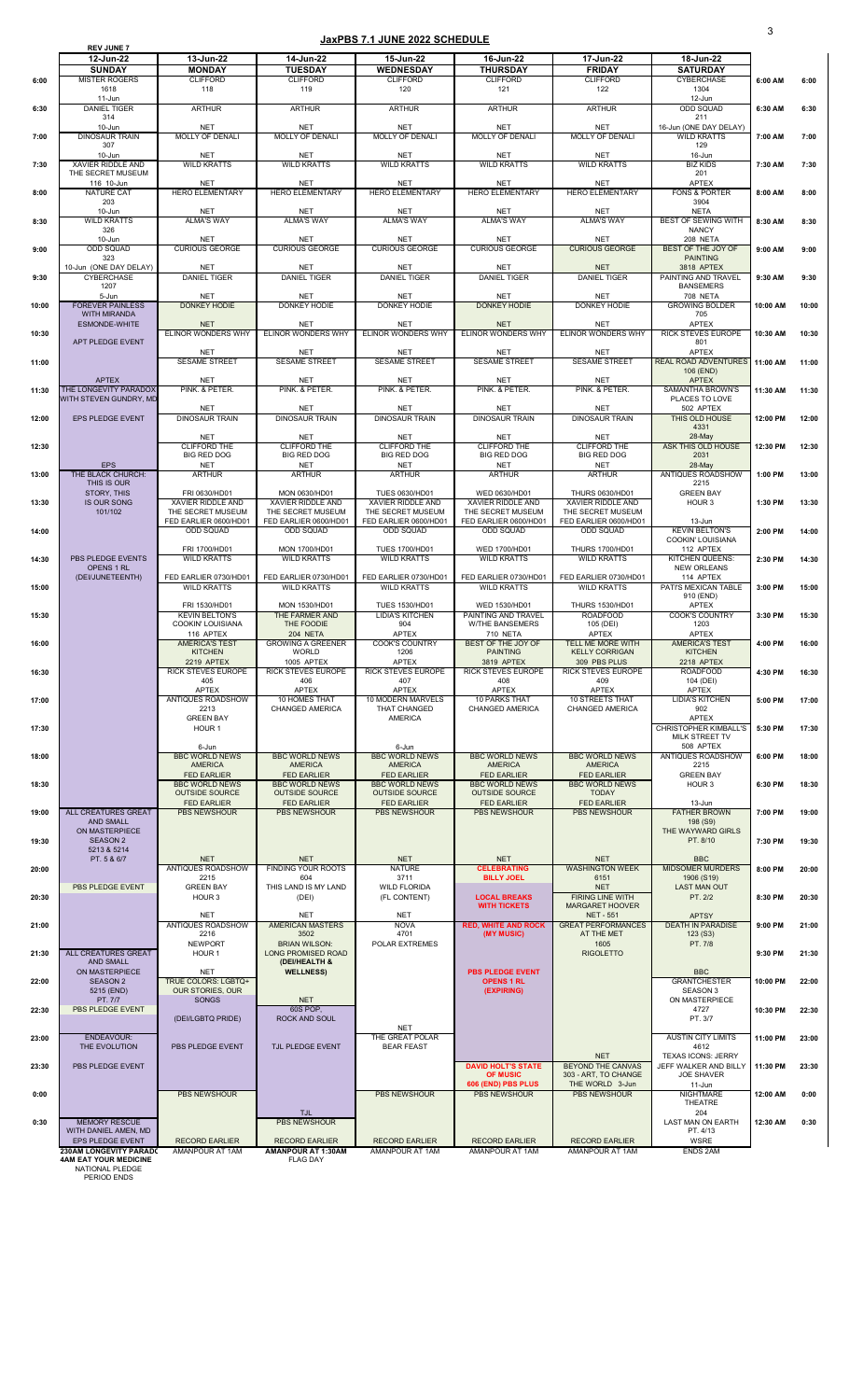|       | <b>REV JUNE 7</b>                              |                                             |                                               |                                                 |                                                |                                                   |                                            |          |       |
|-------|------------------------------------------------|---------------------------------------------|-----------------------------------------------|-------------------------------------------------|------------------------------------------------|---------------------------------------------------|--------------------------------------------|----------|-------|
|       | 12-Jun-22                                      | 13-Jun-22                                   | 14-Jun-22                                     | 15-Jun-22                                       | 16-Jun-22                                      | 17-Jun-22                                         | 18-Jun-22                                  |          |       |
| 6:00  | <b>SUNDAY</b><br><b>MISTER ROGERS</b>          | <b>MONDAY</b><br><b>CLIFFORD</b>            | <b>TUESDAY</b><br><b>CLIFFORD</b>             | <b>WEDNESDAY</b><br><b>CLIFFORD</b>             | <b>THURSDAY</b><br><b>CLIFFORD</b>             | <b>FRIDAY</b><br><b>CLIFFORD</b>                  | <b>SATURDAY</b><br><b>CYBERCHASE</b>       | 6:00 AM  | 6:00  |
|       | 1618                                           | 118                                         | 119                                           | 120                                             | 121                                            | 122                                               | 1304                                       |          |       |
|       | $11 - Jun$                                     |                                             |                                               |                                                 |                                                |                                                   | 12-Jun                                     |          |       |
| 6:30  | <b>DANIEL TIGER</b><br>314                     | <b>ARTHUR</b>                               | <b>ARTHUR</b>                                 | <b>ARTHUR</b>                                   | <b>ARTHUR</b>                                  | <b>ARTHUR</b>                                     | <b>ODD SQUAD</b><br>211                    | 6:30 AM  | 6:30  |
|       | 10-Jun                                         | <b>NET</b>                                  | <b>NET</b>                                    | <b>NET</b>                                      | <b>NET</b>                                     | <b>NET</b>                                        | 16-Jun (ONE DAY DELAY)                     |          |       |
| 7:00  | <b>DINOSAUR TRAIN</b><br>307                   | <b>MOLLY OF DENALI</b>                      | <b>MOLLY OF DENALI</b>                        | <b>MOLLY OF DENALI</b>                          | <b>MOLLY OF DENALI</b>                         | <b>MOLLY OF DENALI</b>                            | <b>WILD KRATTS</b><br>129                  | 7:00 AM  | 7:00  |
|       | 10-Jun                                         | <b>NET</b>                                  | <b>NET</b>                                    | <b>NET</b>                                      | <b>NET</b>                                     | <b>NET</b>                                        | 16-Jun                                     |          |       |
| 7:30  | <b>XAVIER RIDDLE AND</b>                       | <b>WILD KRATTS</b>                          | <b>WILD KRATTS</b>                            | <b>WILD KRATTS</b>                              | <b>WILD KRATTS</b>                             | <b>WILD KRATTS</b>                                | <b>BIZ KIDS</b>                            | 7:30 AM  | 7:30  |
|       | THE SECRET MUSEUM<br>116 10-Jun                | <b>NET</b>                                  | <b>NET</b>                                    | <b>NET</b>                                      | <b>NET</b>                                     | <b>NET</b>                                        | 201<br><b>APTEX</b>                        |          |       |
| 8:00  | <b>NATURE CAT</b>                              | <b>HERO ELEMENTARY</b>                      | <b>HERO ELEMENTARY</b>                        | <b>HERO ELEMENTARY</b>                          | <b>HERO ELEMENTARY</b>                         | <b>HERO ELEMENTARY</b>                            | <b>FONS &amp; PORTER</b>                   | 8:00 AM  | 8:00  |
|       | 203                                            |                                             |                                               |                                                 |                                                |                                                   | 3904                                       |          |       |
| 8:30  | 10-Jun<br><b>WILD KRATTS</b>                   | <b>NET</b><br><b>ALMA'S WAY</b>             | <b>NET</b><br><b>ALMA'S WAY</b>               | <b>NET</b><br><b>ALMA'S WAY</b>                 | <b>NET</b><br><b>ALMA'S WAY</b>                | <b>NET</b><br><b>ALMA'S WAY</b>                   | <b>NETA</b><br><b>BEST OF SEWING WITH</b>  | 8:30 AM  | 8:30  |
|       | 326                                            |                                             |                                               |                                                 |                                                |                                                   | <b>NANCY</b>                               |          |       |
|       | 10-Jun<br><b>ODD SQUAD</b>                     | <b>NET</b><br><b>CURIOUS GEORGE</b>         | <b>NET</b><br><b>CURIOUS GEORGE</b>           | <b>NET</b><br><b>CURIOUS GEORGE</b>             | <b>NET</b><br><b>CURIOUS GEORGE</b>            | <b>NET</b><br><b>CURIOUS GEORGE</b>               | 208 NETA<br><b>BEST OF THE JOY OF</b>      | 9:00 AM  | 9:00  |
| 9:00  | 323                                            |                                             |                                               |                                                 |                                                |                                                   | <b>PAINTING</b>                            |          |       |
|       | 10-Jun (ONE DAY DELAY)                         | <b>NET</b>                                  | <b>NET</b>                                    | <b>NET</b>                                      | <b>NET</b>                                     | <b>NET</b>                                        | 3818 APTEX                                 |          |       |
| 9:30  | <b>CYBERCHASE</b><br>1207                      | <b>DANIEL TIGER</b>                         | <b>DANIEL TIGER</b>                           | <b>DANIEL TIGER</b>                             | <b>DANIEL TIGER</b>                            | <b>DANIEL TIGER</b>                               | PAINTING AND TRAVEL<br><b>BANSEMERS</b>    | 9:30 AM  | 9:30  |
|       | 5-Jun                                          | <b>NET</b>                                  | <b>NET</b>                                    | <b>NET</b>                                      | <b>NET</b>                                     | <b>NET</b>                                        | <b>708 NETA</b>                            |          |       |
| 10:00 | <b>FOREVER PAINLESS</b><br><b>WITH MIRANDA</b> | <b>DONKEY HODIE</b>                         | <b>DONKEY HODIE</b>                           | <b>DONKEY HODIE</b>                             | <b>DONKEY HODIE</b>                            | DONKEY HODIE                                      | <b>GROWING BOLDER</b><br>705               | 10:00 AM | 10:00 |
|       | <b>ESMONDE-WHITE</b>                           | <b>NET</b>                                  | <b>NET</b>                                    | <b>NET</b>                                      | <b>NET</b>                                     | <b>NET</b>                                        | <b>APTEX</b>                               |          |       |
| 10:30 |                                                | <b>ELINOR WONDERS WHY</b>                   | <b>ELINOR WONDERS WHY</b>                     | <b>ELINOR WONDERS WHY</b>                       | ELINOR WONDERS WHY                             | ELINOR WONDERS WHY                                | <b>RICK STEVES EUROPE</b>                  | 10:30 AM | 10:30 |
|       | APT PLEDGE EVENT                               | <b>NET</b>                                  | <b>NET</b>                                    | <b>NET</b>                                      | <b>NET</b>                                     | <b>NET</b>                                        | 801<br><b>APTEX</b>                        |          |       |
| 11:00 |                                                | <b>SESAME STREET</b>                        | <b>SESAME STREET</b>                          | <b>SESAME STREET</b>                            | <b>SESAME STREET</b>                           | <b>SESAME STREET</b>                              | REAL ROAD ADVENTURES 11:00 AM              |          | 11:00 |
|       |                                                |                                             |                                               |                                                 |                                                |                                                   | 106 (END)                                  |          |       |
| 11:30 | <b>APTEX</b><br>THE LONGEVITY PARADOX          | <b>NET</b><br>PINK. & PETER.                | <b>NET</b><br>PINK. & PETER.                  | <b>NET</b><br>PINK. & PETER.                    | <b>NET</b><br>PINK. & PETER.                   | <b>NET</b><br>PINK. & PETER.                      | <b>APTEX</b><br><b>SAMANTHA BROWN'S</b>    | 11:30 AM | 11:30 |
|       | WITH STEVEN GUNDRY, MD                         |                                             |                                               |                                                 |                                                |                                                   | PLACES TO LOVE                             |          |       |
| 12:00 | EPS PLEDGE EVENT                               | <b>NET</b><br><b>DINOSAUR TRAIN</b>         | <b>NET</b><br><b>DINOSAUR TRAIN</b>           | <b>NET</b><br><b>DINOSAUR TRAIN</b>             | <b>NET</b><br><b>DINOSAUR TRAIN</b>            | <b>NET</b><br><b>DINOSAUR TRAIN</b>               | 502 APTEX<br>THIS OLD HOUSE                | 12:00 PM | 12:00 |
|       |                                                |                                             |                                               |                                                 |                                                |                                                   | 4331                                       |          |       |
|       |                                                | <b>NET</b>                                  | <b>NET</b>                                    | <b>NET</b>                                      | <b>NET</b>                                     | <b>NET</b>                                        | 28-May                                     |          |       |
| 12:30 |                                                | <b>CLIFFORD THE</b><br><b>BIG RED DOG</b>   | <b>CLIFFORD THE</b><br><b>BIG RED DOG</b>     | <b>CLIFFORD THE</b><br><b>BIG RED DOG</b>       | <b>CLIFFORD THE</b><br><b>BIG RED DOG</b>      | <b>CLIFFORD THE</b><br><b>BIG RED DOG</b>         | <b>ASK THIS OLD HOUSE</b><br>2031          | 12:30 PM | 12:30 |
|       | <b>EPS</b>                                     | <b>NET</b>                                  | <b>NET</b>                                    | <b>NET</b>                                      | <b>NET</b>                                     | <b>NET</b>                                        | 28-May                                     |          |       |
| 13:00 | THE BLACK CHURCH:<br>THIS IS OUR               | <b>ARTHUR</b>                               | <b>ARTHUR</b>                                 | <b>ARTHUR</b>                                   | <b>ARTHUR</b>                                  | <b>ARTHUR</b>                                     | <b>ANTIQUES ROADSHOW</b><br>2215           | 1:00 PM  | 13:00 |
|       | STORY, THIS                                    | FRI 0630/HD01                               | MON 0630/HD01                                 | <b>TUES 0630/HD01</b>                           | WED 0630/HD01                                  | <b>THURS 0630/HD01</b>                            | <b>GREEN BAY</b>                           |          |       |
| 13:30 | <b>IS OUR SONG</b><br>101/102                  | XAVIER RIDDLE AND<br>THE SECRET MUSEUM      | <b>XAVIER RIDDLE AND</b><br>THE SECRET MUSEUM | XAVIER RIDDLE AND<br>THE SECRET MUSEUM          | XAVIER RIDDLE AND<br>THE SECRET MUSEUM         | XAVIER RIDDLE AND<br>THE SECRET MUSEUM            | HOUR <sub>3</sub>                          | 1:30 PM  | 13:30 |
|       |                                                | FED EARLIER 0600/HD01                       | FED EARLIER 0600/HD01                         | FED EARLIER 0600/HD01                           | FED EARLIER 0600/HD01                          | FED EARLIER 0600/HD01                             | 13-Jun                                     |          |       |
| 14:00 |                                                | <b>ODD SQUAD</b>                            | <b>ODD SQUAD</b>                              | <b>ODD SQUAD</b>                                | <b>ODD SQUAD</b>                               | <b>ODD SQUAD</b>                                  | <b>KEVIN BELTON'S</b>                      | 2:00 PM  | 14:00 |
|       |                                                | FRI 1700/HD01                               | MON 1700/HD01                                 | <b>TUES 1700/HD01</b>                           | WED 1700/HD01                                  | <b>THURS 1700/HD01</b>                            | <b>COOKIN' LOUISIANA</b><br>112 APTEX      |          |       |
| 14:30 | PBS PLEDGE EVENTS                              | <b>WILD KRATTS</b>                          | <b>WILD KRATTS</b>                            | <b>WILD KRATTS</b>                              | <b>WILD KRATTS</b>                             | <b>WILD KRATTS</b>                                | <b>KITCHEN QUEENS:</b>                     | 2:30 PM  | 14:30 |
|       | <b>OPENS 1 RL</b><br>(DEI/JUNETEENTH)          | FED EARLIER 0730/HD01                       | FED EARLIER 0730/HD01                         | FED EARLIER 0730/HD01                           | FED EARLIER 0730/HD01                          | FED EARLIER 0730/HD01                             | <b>NEW ORLEANS</b><br>114 APTEX            |          |       |
| 15:00 |                                                | <b>WILD KRATTS</b>                          | <b>WILD KRATTS</b>                            | <b>WILD KRATTS</b>                              | <b>WILD KRATTS</b>                             | <b>WILD KRATTS</b>                                | PATI'S MEXICAN TABLE                       | 3:00 PM  | 15:00 |
|       |                                                |                                             |                                               |                                                 |                                                |                                                   | 910 (END)                                  |          |       |
| 15:30 |                                                | FRI 1530/HD01<br><b>KEVIN BELTON'S</b>      | MON 1530/HD01<br>THE FARMER AND               | <b>TUES 1530/HD01</b><br><b>LIDIA'S KITCHEN</b> | WED 1530/HD01<br>PAINTING AND TRAVEL           | <b>THURS 1530/HD01</b><br><b>ROADFOOD</b>         | <b>APTEX</b><br><b>COOK'S COUNTRY</b>      | 3:30 PM  | 15:30 |
|       |                                                | <b>COOKIN' LOUISIANA</b>                    | THE FOODIE                                    | 904                                             | <b>W/THE BANSEMERS</b>                         | 105 (DEI)                                         | 1203                                       |          |       |
|       |                                                | 116 APTEX<br><b>AMERICA'S TEST</b>          | <b>204 NETA</b>                               | <b>APTEX</b>                                    | 710 NETA<br>BEST OF THE JOY OF                 | <b>APTEX</b><br><b>TELL ME MORE WITH</b>          | <b>APTEX</b>                               |          |       |
| 16:00 |                                                | <b>KITCHEN</b>                              | <b>GROWING A GREENER</b><br><b>WORLD</b>      | <b>COOK'S COUNTRY</b><br>1206                   | <b>PAINTING</b>                                | <b>KELLY CORRIGAN</b>                             | <b>AMERICA'S TEST</b><br><b>KITCHEN</b>    | 4:00 PM  | 16:00 |
|       |                                                | <b>2219 APTEX</b>                           | 1005 APTEX                                    | <b>APTEX</b>                                    | 3819 APTEX                                     | 309 PBS PLUS                                      | 2218 APTEX                                 |          |       |
| 16:30 |                                                | <b>RICK STEVES EUROPE</b><br>405            | <b>RICK STEVES EUROPE</b><br>406              | <b>RICK STEVES EUROPE</b><br>407                | <b>RICK STEVES EUROPE</b><br>408               | <b>RICK STEVES EUROPE</b><br>409                  | <b>ROADFOOD</b><br>104 (DEI)               | 4:30 PM  | 16:30 |
|       |                                                | <b>APTEX</b>                                | APTEX                                         | <b>APTEX</b>                                    | <b>APTEX</b>                                   | <b>APTEX</b>                                      | APTEX                                      |          |       |
| 17:00 |                                                | <b>ANTIQUES ROADSHOW</b><br>2213            | 10 HOMES THAT<br><b>CHANGED AMERICA</b>       | 10 MODERN MARVELS<br><b>THAT CHANGED</b>        | <b>10 PARKS THAT</b><br><b>CHANGED AMERICA</b> | <b>10 STREETS THAT</b><br><b>CHANGED AMERICA</b>  | <b>LIDIA'S KITCHEN</b><br>902              | 5:00 PM  | 17:00 |
|       |                                                | <b>GREEN BAY</b>                            |                                               | <b>AMERICA</b>                                  |                                                |                                                   | <b>APTEX</b>                               |          |       |
| 17:30 |                                                | HOUR <sub>1</sub>                           |                                               |                                                 |                                                |                                                   | <b>CHRISTOPHER KIMBALL'S</b>               | 5:30 PM  | 17:30 |
|       |                                                | 6-Jun                                       |                                               | 6-Jun                                           |                                                |                                                   | MILK STREET TV<br>508 APTEX                |          |       |
| 18:00 |                                                | <b>BBC WORLD NEWS</b>                       | <b>BBC WORLD NEWS</b>                         | <b>BBC WORLD NEWS</b>                           | <b>BBC WORLD NEWS</b>                          | <b>BBC WORLD NEWS</b>                             | <b>ANTIQUES ROADSHOW</b>                   | 6:00 PM  | 18:00 |
|       |                                                | <b>AMERICA</b>                              | <b>AMERICA</b>                                | <b>AMERICA</b>                                  | <b>AMERICA</b>                                 | <b>AMERICA</b>                                    | 2215                                       |          |       |
| 18:30 |                                                | <b>FED EARLIER</b><br><b>BBC WORLD NEWS</b> | <b>FED EARLIER</b><br><b>BBC WORLD NEWS</b>   | <b>FED EARLIER</b><br><b>BBC WORLD NEWS</b>     | <b>FED EARLIER</b><br><b>BBC WORLD NEWS</b>    | <b>FED EARLIER</b><br><b>BBC WORLD NEWS</b>       | <b>GREEN BAY</b><br>HOUR 3                 | 6:30 PM  | 18:30 |
|       |                                                | <b>OUTSIDE SOURCE</b>                       | <b>OUTSIDE SOURCE</b>                         | <b>OUTSIDE SOURCE</b>                           | <b>OUTSIDE SOURCE</b>                          | <b>TODAY</b>                                      |                                            |          |       |
| 19:00 | <b>ALL CREATURES GREAT</b>                     | <b>FED EARLIER</b><br><b>PBS NEWSHOUR</b>   | <b>FED EARLIER</b><br><b>PBS NEWSHOUR</b>     | <b>FED EARLIER</b><br><b>PBS NEWSHOUR</b>       | <b>FED EARLIER</b><br><b>PBS NEWSHOUR</b>      | <b>FED EARLIER</b><br><b>PBS NEWSHOUR</b>         | 13-Jun<br><b>FATHER BROWN</b>              | 7:00 PM  | 19:00 |
|       | <b>AND SMALL</b>                               |                                             |                                               |                                                 |                                                |                                                   | 198 (S9)                                   |          |       |
| 19:30 | ON MASTERPIECE<br><b>SEASON 2</b>              |                                             |                                               |                                                 |                                                |                                                   | THE WAYWARD GIRLS<br>PT. 8/10              | 7:30 PM  | 19:30 |
|       | 5213 & 5214                                    |                                             |                                               |                                                 |                                                |                                                   |                                            |          |       |
|       | PT. 5 & 6/7                                    | <b>NET</b>                                  | <b>NET</b>                                    | <b>NET</b>                                      | <b>NET</b>                                     | <b>NET</b>                                        | <b>BBC</b>                                 |          |       |
| 20:00 |                                                | <b>ANTIQUES ROADSHOW</b><br>2215            | <b>FINDING YOUR ROOTS</b><br>604              | <b>NATURE</b><br>3711                           | <b>CELEBRATING</b><br><b>BILLY JOEL</b>        | <b>WASHINGTON WEEK</b><br>6151                    | <b>MIDSOMER MURDERS</b><br>1906 (S19)      | 8:00 PM  | 20:00 |
|       | PBS PLEDGE EVENT                               | <b>GREEN BAY</b>                            | THIS LAND IS MY LAND                          | <b>WILD FLORIDA</b>                             |                                                | <b>NET</b>                                        | <b>LAST MAN OUT</b>                        |          |       |
| 20:30 |                                                | HOUR <sub>3</sub>                           | (DEI)                                         | (FL CONTENT)                                    | <b>LOCAL BREAKS</b><br><b>WITH TICKETS</b>     | <b>FIRING LINE WITH</b><br><b>MARGARET HOOVER</b> | PT. 2/2                                    | 8:30 PM  | 20:30 |
|       |                                                | <b>NET</b>                                  | <b>NET</b>                                    | <b>NET</b>                                      |                                                | <b>NET - 551</b>                                  | <b>APTSY</b>                               |          |       |
| 21:00 |                                                | <b>ANTIQUES ROADSHOW</b><br>2216            | <b>AMERICAN MASTERS</b><br>3502               | <b>NOVA</b><br>4701                             | <b>RED, WHITE AND ROCK</b>                     | <b>GREAT PERFORMANCES</b><br>AT THE MET           | <b>DEATH IN PARADISE</b>                   | 9:00 PM  | 21:00 |
|       |                                                | <b>NEWPORT</b>                              | <b>BRIAN WILSON:</b>                          | POLAR EXTREMES                                  | (MY MUSIC)                                     | 1605                                              | 123( S3)<br>PT. 7/8                        |          |       |
| 21:30 | <b>ALL CREATURES GREAT</b>                     | HOUR <sub>1</sub>                           | <b>LONG PROMISED ROAD</b>                     |                                                 |                                                | <b>RIGOLETTO</b>                                  |                                            | 9:30 PM  | 21:30 |
|       | <b>AND SMALL</b><br>ON MASTERPIECE             | <b>NET</b>                                  | (DEI/HEALTH &<br><b>WELLNESS)</b>             |                                                 | <b>PBS PLEDGE EVENT</b>                        |                                                   | <b>BBC</b>                                 |          |       |
| 22:00 | <b>SEASON 2</b>                                | <b>TRUE COLORS: LGBTQ+</b>                  |                                               |                                                 | <b>OPENS 1 RL</b>                              |                                                   | <b>GRANTCHESTER</b>                        | 10:00 PM | 22:00 |
|       | 5215 (END)                                     | <b>OUR STORIES, OUR</b>                     |                                               |                                                 | (EXPIRING)                                     |                                                   | <b>SEASON 3</b>                            |          |       |
| 22:30 | PT. 7/7<br>PBS PLEDGE EVENT                    | <b>SONGS</b>                                | <b>NET</b><br>60S POP,                        |                                                 |                                                |                                                   | ON MASTERPIECE<br>4727                     | 10:30 PM | 22:30 |
|       |                                                | (DEI/LGBTQ PRIDE)                           | <b>ROCK AND SOUL</b>                          |                                                 |                                                |                                                   | PT. 3/7                                    |          |       |
| 23:00 | ENDEAVOUR:                                     |                                             |                                               | <b>NET</b><br>THE GREAT POLAR                   |                                                |                                                   | <b>AUSTIN CITY LIMITS</b>                  | 11:00 PM | 23:00 |
|       | THE EVOLUTION                                  | PBS PLEDGE EVENT                            | TJL PLEDGE EVENT                              | <b>BEAR FEAST</b>                               |                                                |                                                   | 4612                                       |          |       |
|       |                                                |                                             |                                               |                                                 |                                                | <b>NET</b>                                        | <b>TEXAS ICONS: JERRY</b>                  |          |       |
| 23:30 | PBS PLEDGE EVENT                               |                                             |                                               |                                                 | <b>DAVID HOLT'S STATE</b><br><b>OF MUSIC</b>   | <b>BEYOND THE CANVAS</b><br>303 - ART, TO CHANGE  | JEFF WALKER AND BILLY<br><b>JOE SHAVER</b> | 11:30 PM | 23:30 |
|       |                                                |                                             |                                               |                                                 | 606 (END) PBS PLUS                             | THE WORLD 3-Jun                                   | 11-Jun                                     |          |       |
| 0:00  |                                                | <b>PBS NEWSHOUR</b>                         |                                               | <b>PBS NEWSHOUR</b>                             | <b>PBS NEWSHOUR</b>                            | <b>PBS NEWSHOUR</b>                               | <b>NIGHTMARE</b><br><b>THEATRE</b>         | 12:00 AM | 0:00  |
|       |                                                |                                             | <b>TJL</b>                                    |                                                 |                                                |                                                   | 204                                        |          |       |
| 0:30  | <b>MEMORY RESCUE</b><br>WITH DANIEL AMEN, MD   |                                             | <b>PBS NEWSHOUR</b>                           |                                                 |                                                |                                                   | <b>LAST MAN ON EARTH</b><br>PT. 4/13       | 12:30 AM | 0:30  |
|       | EPS PLEDGE EVENT                               | <b>RECORD EARLIER</b>                       | <b>RECORD EARLIER</b>                         | <b>RECORD EARLIER</b>                           | <b>RECORD EARLIER</b>                          | <b>RECORD EARLIER</b>                             | <b>WSRE</b>                                |          |       |
|       | <b>230AM LONGEVITY PARADO</b>                  | AMANPOUR AT 1AM                             | <b>AMANPOUR AT 1:30AM</b>                     | <b>AMANPOUR AT 1AM</b>                          | <b>AMANPOUR AT 1AM</b>                         | AMANPOUR AT 1AM                                   | <b>ENDS 2AM</b>                            |          |       |
|       | <b>4AM EAT YOUR MEDICINE</b>                   |                                             | <b>FLAG DAY</b>                               |                                                 |                                                |                                                   |                                            |          |       |

NATIONAL PLEDGE

PERIOD ENDS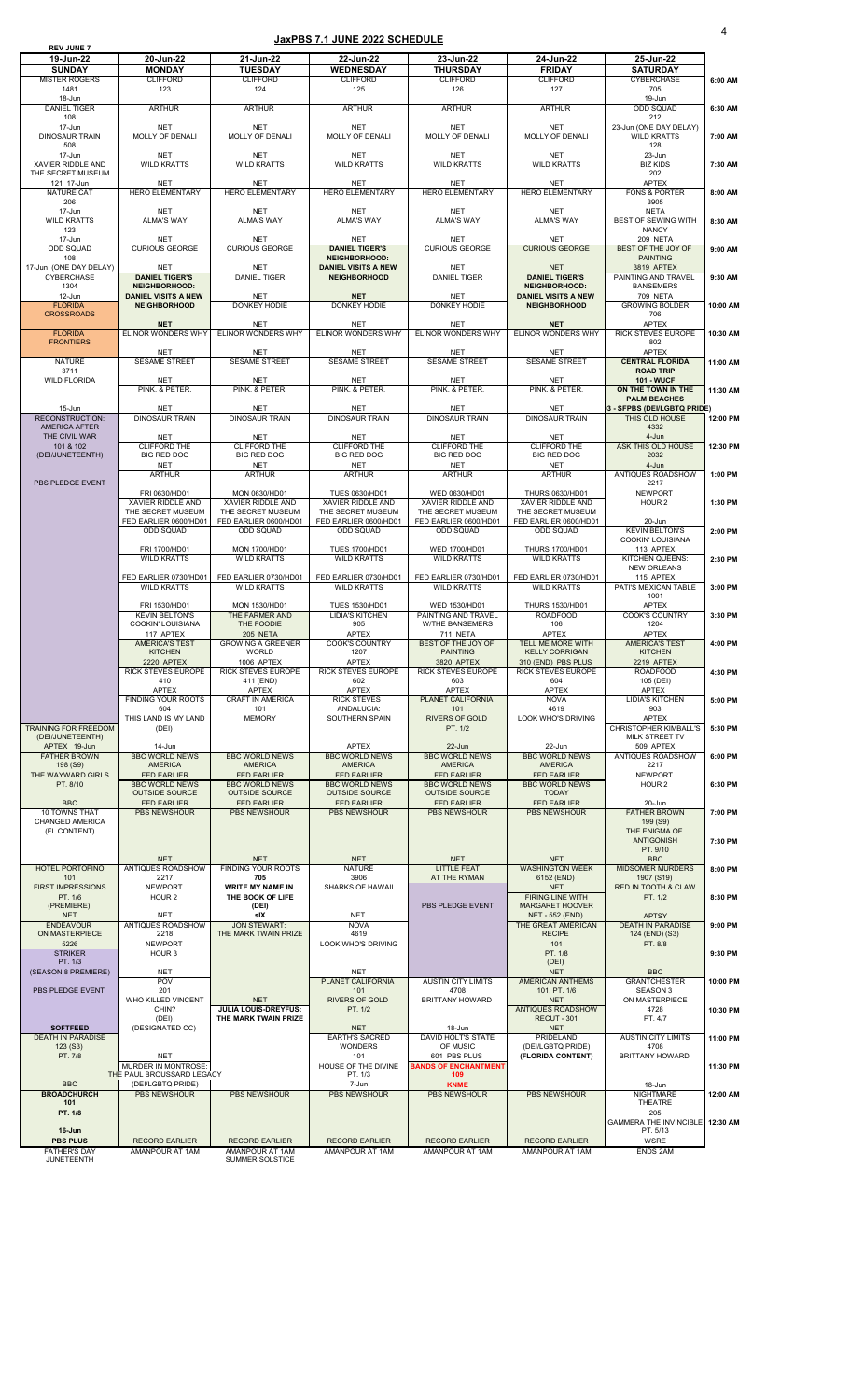| <b>REV JUNE 7</b>                             |                                                         |                                                     |                                                    |                                                |                                                   |                                                       |          |
|-----------------------------------------------|---------------------------------------------------------|-----------------------------------------------------|----------------------------------------------------|------------------------------------------------|---------------------------------------------------|-------------------------------------------------------|----------|
| 19-Jun-22                                     | 20-Jun-22                                               | 21-Jun-22                                           | 22-Jun-22                                          | 23-Jun-22                                      | 24-Jun-22                                         | 25-Jun-22                                             |          |
| <b>SUNDAY</b>                                 | <b>MONDAY</b>                                           | <b>TUESDAY</b>                                      | <b>WEDNESDAY</b>                                   | <b>THURSDAY</b>                                | <b>FRIDAY</b>                                     | <b>SATURDAY</b>                                       |          |
| <b>MISTER ROGERS</b><br>1481                  | <b>CLIFFORD</b><br>123                                  | <b>CLIFFORD</b><br>124                              | <b>CLIFFORD</b><br>125                             | <b>CLIFFORD</b><br>126                         | <b>CLIFFORD</b><br>127                            | <b>CYBERCHASE</b><br>705                              | 6:00 AM  |
| 18-Jun                                        |                                                         |                                                     |                                                    |                                                |                                                   | 19-Jun                                                |          |
| <b>DANIEL TIGER</b>                           | <b>ARTHUR</b>                                           | <b>ARTHUR</b>                                       | <b>ARTHUR</b>                                      | <b>ARTHUR</b>                                  | <b>ARTHUR</b>                                     | <b>ODD SQUAD</b>                                      | 6:30 AM  |
| 108<br>17-Jun                                 | <b>NET</b>                                              | <b>NET</b>                                          | <b>NET</b>                                         | <b>NET</b>                                     | <b>NET</b>                                        | 212<br>23-Jun (ONE DAY DELAY)                         |          |
| <b>DINOSAUR TRAIN</b>                         | <b>MOLLY OF DENALI</b>                                  | <b>MOLLY OF DENALI</b>                              | <b>MOLLY OF DENALI</b>                             | <b>MOLLY OF DENALI</b>                         | <b>MOLLY OF DENALI</b>                            | <b>WILD KRATTS</b>                                    | 7:00 AM  |
| 508                                           |                                                         |                                                     |                                                    |                                                |                                                   | 128                                                   |          |
| 17-Jun                                        | <b>NET</b>                                              | <b>NET</b>                                          | <b>NET</b>                                         | <b>NET</b>                                     | <b>NET</b>                                        | 23-Jun                                                |          |
| <b>XAVIER RIDDLE AND</b><br>THE SECRET MUSEUM | <b>WILD KRATTS</b>                                      | <b>WILD KRATTS</b>                                  | <b>WILD KRATTS</b>                                 | <b>WILD KRATTS</b>                             | <b>WILD KRATTS</b>                                | <b>BIZ KIDS</b><br>202                                | 7:30 AM  |
| 121 17-Jun                                    | <b>NET</b>                                              | <b>NET</b>                                          | <b>NET</b>                                         | <b>NET</b>                                     | <b>NET</b>                                        | <b>APTEX</b>                                          |          |
| <b>NATURE CAT</b>                             | <b>HERO ELEMENTARY</b>                                  | <b>HERO ELEMENTARY</b>                              | <b>HERO ELEMENTARY</b>                             | <b>HERO ELEMENTARY</b>                         | <b>HERO ELEMENTARY</b>                            | <b>FONS &amp; PORTER</b>                              | 8:00 AM  |
| 206<br>17-Jun                                 | <b>NET</b>                                              | <b>NET</b>                                          | <b>NET</b>                                         | <b>NET</b>                                     | <b>NET</b>                                        | 3905<br><b>NETA</b>                                   |          |
| <b>WILD KRATTS</b>                            | <b>ALMA'S WAY</b>                                       | <b>ALMA'S WAY</b>                                   | <b>ALMA'S WAY</b>                                  | <b>ALMA'S WAY</b>                              | <b>ALMA'S WAY</b>                                 | <b>BEST OF SEWING WITH</b>                            | 8:30 AM  |
| 123                                           |                                                         |                                                     |                                                    |                                                |                                                   | <b>NANCY</b>                                          |          |
| 17-Jun                                        | <b>NET</b>                                              | <b>NET</b>                                          | <b>NET</b>                                         | <b>NET</b>                                     | <b>NET</b>                                        | 209 NETA                                              |          |
| <b>ODD SQUAD</b>                              | <b>CURIOUS GEORGE</b>                                   | <b>CURIOUS GEORGE</b>                               | <b>DANIEL TIGER'S</b>                              | <b>CURIOUS GEORGE</b>                          | <b>CURIOUS GEORGE</b>                             | <b>BEST OF THE JOY OF</b>                             | 9:00 AM  |
| 108<br>17-Jun (ONE DAY DELAY)                 | <b>NET</b>                                              | <b>NET</b>                                          | <b>NEIGHBORHOOD:</b><br><b>DANIEL VISITS A NEW</b> | <b>NET</b>                                     | <b>NET</b>                                        | <b>PAINTING</b><br>3819 APTEX                         |          |
| <b>CYBERCHASE</b>                             | <b>DANIEL TIGER'S</b>                                   | <b>DANIEL TIGER</b>                                 | <b>NEIGHBORHOOD</b>                                | <b>DANIEL TIGER</b>                            | <b>DANIEL TIGER'S</b>                             | PAINTING AND TRAVEL                                   | 9:30 AM  |
| 1304                                          | <b>NEIGHBORHOOD:</b>                                    |                                                     |                                                    |                                                | <b>NEIGHBORHOOD:</b>                              | <b>BANSEMERS</b>                                      |          |
| 12-Jun                                        | <b>DANIEL VISITS A NEW</b>                              | <b>NET</b>                                          | <b>NET</b>                                         | <b>NET</b>                                     | <b>DANIEL VISITS A NEW</b>                        | <b>709 NETA</b>                                       |          |
| <b>FLORIDA</b><br><b>CROSSROADS</b>           | <b>NEIGHBORHOOD</b>                                     | <b>DONKEY HODIE</b>                                 | <b>DONKEY HODIE</b>                                | <b>DONKEY HODIE</b>                            | <b>NEIGHBORHOOD</b>                               | <b>GROWING BOLDER</b><br>706                          | 10:00 AM |
|                                               | <b>NET</b>                                              | <b>NET</b>                                          | <b>NET</b>                                         | <b>NET</b>                                     | <b>NET</b>                                        | <b>APTEX</b>                                          |          |
| <b>FLORIDA</b>                                | ELINOR WONDERS WHY                                      | ELINOR WONDERS WHY                                  | <b>ELINOR WONDERS WHY</b>                          | ELINOR WONDERS WHY                             | <b>ELINOR WONDERS WHY</b>                         | <b>RICK STEVES EUROPE</b>                             | 10:30 AM |
| <b>FRONTIERS</b>                              |                                                         |                                                     |                                                    |                                                |                                                   | 802                                                   |          |
| <b>NATURE</b>                                 | <b>NET</b><br><b>SESAME STREET</b>                      | <b>NET</b><br><b>SESAME STREET</b>                  | <b>NET</b><br><b>SESAME STREET</b>                 | <b>NET</b><br><b>SESAME STREET</b>             | <b>NET</b><br><b>SESAME STREET</b>                | <b>APTEX</b><br><b>CENTRAL FLORIDA</b>                | 11:00 AM |
| 3711                                          |                                                         |                                                     |                                                    |                                                |                                                   | <b>ROAD TRIP</b>                                      |          |
| <b>WILD FLORIDA</b>                           | <b>NET</b>                                              | <b>NET</b>                                          | <b>NET</b>                                         | <b>NET</b>                                     | <b>NET</b>                                        | <b>101 - WUCF</b>                                     |          |
|                                               | PINK. & PETER.                                          | PINK. & PETER.                                      | PINK. & PETER.                                     | PINK. & PETER.                                 | PINK. & PETER.                                    | ON THE TOWN IN THE                                    | 11:30 AM |
| $15 - Jun$                                    | <b>NET</b>                                              | <b>NET</b>                                          | <b>NET</b>                                         | <b>NET</b>                                     | <b>NET</b>                                        | <b>PALM BEACHES</b><br>3 - SFPBS (DEI/LGBTQ PRIDE)    |          |
| <b>RECONSTRUCTION:</b>                        | <b>DINOSAUR TRAIN</b>                                   | <b>DINOSAUR TRAIN</b>                               | <b>DINOSAUR TRAIN</b>                              | <b>DINOSAUR TRAIN</b>                          | <b>DINOSAUR TRAIN</b>                             | THIS OLD HOUSE                                        | 12:00 PM |
| <b>AMERICA AFTER</b>                          |                                                         |                                                     |                                                    |                                                |                                                   | 4332                                                  |          |
| THE CIVIL WAR                                 | <b>NET</b>                                              | <b>NET</b>                                          | <b>NET</b>                                         | <b>NET</b>                                     | <b>NET</b>                                        | 4-Jun                                                 |          |
| 101 & 102<br>(DEI/JUNETEENTH)                 | <b>CLIFFORD THE</b><br><b>BIG RED DOG</b>               | <b>CLIFFORD THE</b><br><b>BIG RED DOG</b>           | <b>CLIFFORD THE</b><br><b>BIG RED DOG</b>          | <b>CLIFFORD THE</b><br><b>BIG RED DOG</b>      | <b>CLIFFORD THE</b><br><b>BIG RED DOG</b>         | ASK THIS OLD HOUSE<br>2032                            | 12:30 PM |
|                                               | <b>NET</b>                                              | <b>NET</b>                                          | <b>NET</b>                                         | <b>NET</b>                                     | <b>NET</b>                                        | 4-Jun                                                 |          |
|                                               | <b>ARTHUR</b>                                           | <b>ARTHUR</b>                                       | <b>ARTHUR</b>                                      | <b>ARTHUR</b>                                  | <b>ARTHUR</b>                                     | <b>ANTIQUES ROADSHOW</b>                              | 1:00 PM  |
| PBS PLEDGE EVENT                              |                                                         |                                                     |                                                    |                                                |                                                   | 2217                                                  |          |
|                                               | FRI 0630/HD01                                           | MON 0630/HD01                                       | <b>TUES 0630/HD01</b>                              | WED 0630/HD01                                  | <b>THURS 0630/HD01</b>                            | <b>NEWPORT</b>                                        |          |
|                                               | XAVIER RIDDLE AND<br>THE SECRET MUSEUM                  | XAVIER RIDDLE AND<br>THE SECRET MUSEUM              | <b>XAVIER RIDDLE AND</b><br>THE SECRET MUSEUM      | <b>XAVIER RIDDLE AND</b><br>THE SECRET MUSEUM  | XAVIER RIDDLE AND<br>THE SECRET MUSEUM            | HOUR <sub>2</sub>                                     | 1:30 PM  |
|                                               | FED EARLIER 0600/HD01                                   | FED EARLIER 0600/HD01                               | FED EARLIER 0600/HD01                              | FED EARLIER 0600/HD01                          | FED EARLIER 0600/HD01                             | 20-Jun                                                |          |
|                                               | <b>ODD SQUAD</b>                                        | <b>ODD SQUAD</b>                                    | <b>ODD SQUAD</b>                                   | <b>ODD SQUAD</b>                               | <b>ODD SQUAD</b>                                  | <b>KEVIN BELTON'S</b>                                 | 2:00 PM  |
|                                               | FRI 1700/HD01                                           | <b>MON 1700/HD01</b>                                | <b>TUES 1700/HD01</b>                              | WED 1700/HD01                                  | <b>THURS 1700/HD01</b>                            | <b>COOKIN' LOUISIANA</b><br>113 APTEX                 |          |
|                                               | <b>WILD KRATTS</b>                                      | <b>WILD KRATTS</b>                                  | <b>WILD KRATTS</b>                                 | <b>WILD KRATTS</b>                             | <b>WILD KRATTS</b>                                | <b>KITCHEN QUEENS:</b>                                | 2:30 PM  |
|                                               |                                                         |                                                     |                                                    |                                                |                                                   | <b>NEW ORLEANS</b>                                    |          |
|                                               | FED EARLIER 0730/HD01                                   | FED EARLIER 0730/HD01                               | FED EARLIER 0730/HD01                              | FED EARLIER 0730/HD01                          | FED EARLIER 0730/HD01                             | 115 APTEX                                             |          |
|                                               | <b>WILD KRATTS</b>                                      | <b>WILD KRATTS</b>                                  | <b>WILD KRATTS</b>                                 | <b>WILD KRATTS</b>                             | <b>WILD KRATTS</b>                                | PATI'S MEXICAN TABLE<br>1001                          | 3:00 PM  |
|                                               | FRI 1530/HD01                                           | MON 1530/HD01                                       | <b>TUES 1530/HD01</b>                              | WED 1530/HD01                                  | <b>THURS 1530/HD01</b>                            | <b>APTEX</b>                                          |          |
|                                               | <b>KEVIN BELTON'S</b>                                   | THE FARMER AND                                      | <b>LIDIA'S KITCHEN</b>                             | PAINTING AND TRAVEL                            | <b>ROADFOOD</b>                                   | <b>COOK'S COUNTRY</b>                                 | 3:30 PM  |
|                                               | <b>COOKIN' LOUISIANA</b>                                | THE FOODIE                                          | 905                                                | <b>W/THE BANSEMERS</b>                         | 106                                               | 1204                                                  |          |
|                                               | 117 APTEX                                               | <b>205 NETA</b>                                     | <b>APTEX</b>                                       | 711 NETA                                       | <b>APTEX</b>                                      | <b>APTEX</b>                                          |          |
|                                               | <b>AMERICA'S TEST</b><br><b>KITCHEN</b>                 | <b>GROWING A GREENER</b><br><b>WORLD</b>            | <b>COOK'S COUNTRY</b><br>1207                      | BEST OF THE JOY OF<br><b>PAINTING</b>          | <b>TELL ME MORE WITH</b><br><b>KELLY CORRIGAN</b> | <b>AMERICA'S TEST</b><br><b>KITCHEN</b>               | 4:00 PM  |
|                                               | <b>2220 APTEX</b>                                       | 1006 APTEX                                          | <b>APTEX</b>                                       | 3820 APTEX                                     | 310 (END) PBS PLUS                                | <b>2219 APTEX</b>                                     |          |
|                                               | <b>RICK STEVES EUROPE</b>                               | <b>RICK STEVES EUROPE</b>                           | <b>RICK STEVES EUROPE</b>                          | <b>RICK STEVES EUROPE</b>                      | <b>RICK STEVES EUROPE</b>                         | <b>ROADFOOD</b>                                       | 4:30 PM  |
|                                               | 410                                                     | 411 (END)                                           | 602                                                | 603                                            | 604                                               | 105 (DEI)                                             |          |
|                                               | <b>APTEX</b><br><b>FINDING YOUR ROOTS</b>               | APTEX<br><b>CRAFT IN AMERICA</b>                    | APTEX<br><b>RICK STEVES</b>                        | <b>APTEX</b><br><b>PLANET CALIFORNIA</b>       | <b>APTEX</b><br><b>NOVA</b>                       | APTEX<br><b>LIDIA'S KITCHEN</b>                       | 5:00 PM  |
|                                               | 604                                                     | 101                                                 | ANDALUCIA:                                         | 101                                            | 4619                                              | 903                                                   |          |
|                                               | THIS LAND IS MY LAND                                    | <b>MEMORY</b>                                       | <b>SOUTHERN SPAIN</b>                              | <b>RIVERS OF GOLD</b>                          | <b>LOOK WHO'S DRIVING</b>                         | <b>APTEX</b>                                          |          |
| <b>TRAINING FOR FREEDOM</b>                   | (DEI)                                                   |                                                     |                                                    | PT. 1/2                                        |                                                   | <b>CHRISTOPHER KIMBALL'S</b><br><b>MILK STREET TV</b> | 5:30 PM  |
| (DEI/JUNETEENTH)<br>APTEX 19-Jun              | 14-Jun                                                  |                                                     | <b>APTEX</b>                                       | 22-Jun                                         | 22-Jun                                            | 509 APTEX                                             |          |
| <b>FATHER BROWN</b>                           | <b>BBC WORLD NEWS</b>                                   | <b>BBC WORLD NEWS</b>                               | <b>BBC WORLD NEWS</b>                              | <b>BBC WORLD NEWS</b>                          | <b>BBC WORLD NEWS</b>                             | <b>ANTIQUES ROADSHOW</b>                              | 6:00 PM  |
| 198 (S9)                                      | <b>AMERICA</b>                                          | <b>AMERICA</b>                                      | <b>AMERICA</b>                                     | <b>AMERICA</b>                                 | <b>AMERICA</b>                                    | 2217                                                  |          |
| THE WAYWARD GIRLS                             | <b>FED EARLIER</b>                                      | <b>FED EARLIER</b>                                  | <b>FED EARLIER</b>                                 | <b>FED EARLIER</b>                             | <b>FED EARLIER</b>                                | <b>NEWPORT</b>                                        |          |
| PT. 8/10                                      | <b>BBC WORLD NEWS</b><br><b>OUTSIDE SOURCE</b>          | <b>BBC WORLD NEWS</b><br><b>OUTSIDE SOURCE</b>      | <b>BBC WORLD NEWS</b><br><b>OUTSIDE SOURCE</b>     | <b>BBC WORLD NEWS</b><br><b>OUTSIDE SOURCE</b> | <b>BBC WORLD NEWS</b><br><b>TODAY</b>             | HOUR <sub>2</sub>                                     | 6:30 PM  |
| <b>BBC</b>                                    | <b>FED EARLIER</b>                                      | <b>FED EARLIER</b>                                  | <b>FED EARLIER</b>                                 | <b>FED EARLIER</b>                             | <b>FED EARLIER</b>                                | 20-Jun                                                |          |
| <b>10 TOWNS THAT</b>                          | <b>PBS NEWSHOUR</b>                                     | <b>PBS NEWSHOUR</b>                                 | <b>PBS NEWSHOUR</b>                                | <b>PBS NEWSHOUR</b>                            | <b>PBS NEWSHOUR</b>                               | <b>FATHER BROWN</b>                                   | 7:00 PM  |
| <b>CHANGED AMERICA</b><br>(FL CONTENT)        |                                                         |                                                     |                                                    |                                                |                                                   | 199 (S9)<br>THE ENIGMA OF                             |          |
|                                               |                                                         |                                                     |                                                    |                                                |                                                   | <b>ANTIGONISH</b>                                     | 7:30 PM  |
|                                               |                                                         |                                                     |                                                    |                                                |                                                   | PT. 9/10                                              |          |
|                                               | <b>NET</b>                                              | <b>NET</b>                                          | <b>NET</b>                                         | <b>NET</b>                                     | <b>NET</b>                                        | <b>BBC</b>                                            |          |
| <b>HOTEL PORTOFINO</b><br>101                 | <b>ANTIQUES ROADSHOW</b><br>2217                        | <b>FINDING YOUR ROOTS</b><br>705                    | <b>NATURE</b><br>3906                              | <b>LITTLE FEAT</b><br>AT THE RYMAN             | <b>WASHINGTON WEEK</b>                            | <b>MIDSOMER MURDERS</b><br>1907 (S19)                 | 8:00 PM  |
| <b>FIRST IMPRESSIONS</b>                      | <b>NEWPORT</b>                                          | <b>WRITE MY NAME IN</b>                             | <b>SHARKS OF HAWAII</b>                            |                                                | 6152 (END)<br><b>NET</b>                          | <b>RED IN TOOTH &amp; CLAW</b>                        |          |
| PT. 1/6                                       | HOUR <sub>2</sub>                                       | THE BOOK OF LIFE                                    |                                                    |                                                | <b>FIRING LINE WITH</b>                           | PT. 1/2                                               | 8:30 PM  |
| (PREMIERE)                                    |                                                         | (DEI)                                               |                                                    | PBS PLEDGE EVENT                               | <b>MARGARET HOOVER</b>                            |                                                       |          |
| <b>NET</b><br><b>ENDEAVOUR</b>                | <b>NET</b><br>ANTIQUES ROADSHOW                         | sIX<br><b>JON STEWART:</b>                          | <b>NET</b><br><b>NOVA</b>                          |                                                | <b>NET - 552 (END)</b><br>THE GREAT AMERICAN      | <b>APTSY</b><br><b>DEATH IN PARADISE</b>              |          |
| ON MASTERPIECE                                | 2218                                                    | THE MARK TWAIN PRIZE                                | 4619                                               |                                                | <b>RECIPE</b>                                     | 124 (END) (S3)                                        | 9:00 PM  |
| 5226                                          | <b>NEWPORT</b>                                          |                                                     | <b>LOOK WHO'S DRIVING</b>                          |                                                | 101                                               | PT. 8/8                                               |          |
| <b>STRIKER</b>                                | HOUR 3                                                  |                                                     |                                                    |                                                | PT. 1/8                                           |                                                       | 9:30 PM  |
| PT. 1/3<br>(SEASON 8 PREMIERE)                | <b>NET</b>                                              |                                                     | <b>NET</b>                                         |                                                | (DEI)<br><b>NET</b>                               | <b>BBC</b>                                            |          |
|                                               | <b>POV</b>                                              |                                                     | <b>PLANET CALIFORNIA</b>                           | <b>AUSTIN CITY LIMITS</b>                      | <b>AMERICAN ANTHEMS</b>                           | <b>GRANTCHESTER</b>                                   | 10:00 PM |
| PBS PLEDGE EVENT                              | 201                                                     |                                                     | 101                                                | 4708                                           | 101, PT. 1/6                                      | <b>SEASON 3</b>                                       |          |
|                                               | WHO KILLED VINCENT                                      | <b>NET</b>                                          | <b>RIVERS OF GOLD</b>                              | <b>BRITTANY HOWARD</b>                         | <b>NET</b>                                        | ON MASTERPIECE                                        |          |
|                                               | CHIN?<br>(DEI)                                          | <b>JULIA LOUIS-DREYFUS:</b><br>THE MARK TWAIN PRIZE | PT. 1/2                                            |                                                | ANTIQUES ROADSHOW<br><b>RECUT - 301</b>           | 4728<br>PT. 4/7                                       | 10:30 PM |
| <b>SOFTFEED</b>                               | (DESIGNATED CC)                                         |                                                     | <b>NET</b>                                         | 18-Jun                                         | <b>NET</b>                                        |                                                       |          |
| <b>DEATH IN PARADISE</b>                      |                                                         |                                                     | <b>EARTH'S SACRED</b>                              | <b>DAVID HOLT'S STATE</b>                      | PRIDELAND                                         | <b>AUSTIN CITY LIMITS</b>                             | 11:00 PM |
| 123( S3)                                      |                                                         |                                                     | <b>WONDERS</b>                                     | OF MUSIC                                       | (DEI/LGBTQ PRIDE)                                 | 4708                                                  |          |
| PT. 7/8                                       | <b>NET</b>                                              |                                                     | 101                                                | 601 PBS PLUS                                   | (FLORIDA CONTENT)                                 | <b>BRITTANY HOWARD</b>                                |          |
|                                               | MURDER IN MONTROSE:<br><b>THE PAUL BROUSSARD LEGACY</b> |                                                     | HOUSE OF THE DIVINE<br>PT. 1/3                     | <b>BANDS OF ENCHANTMENT</b><br>109             |                                                   |                                                       | 11:30 PM |
| <b>BBC</b>                                    | (DEI/LGBTQ PRIDE)                                       |                                                     | 7-Jun                                              | <b>KNME</b>                                    |                                                   | 18-Jun                                                |          |
| <b>BROADCHURCH</b>                            | <b>PBS NEWSHOUR</b>                                     | <b>PBS NEWSHOUR</b>                                 | <b>PBS NEWSHOUR</b>                                | <b>PBS NEWSHOUR</b>                            | <b>PBS NEWSHOUR</b>                               | <b>NIGHTMARE</b>                                      | 12:00 AM |
| 101                                           |                                                         |                                                     |                                                    |                                                |                                                   | <b>THEATRE</b>                                        |          |
| <b>PT. 1/8</b>                                |                                                         |                                                     |                                                    |                                                |                                                   | 205<br>GAMMERA THE INVINCIBLE 12:30 AM                |          |
| 16-Jun                                        |                                                         |                                                     |                                                    |                                                |                                                   | PT. 5/13                                              |          |
| <b>PBS PLUS</b>                               | <b>RECORD EARLIER</b>                                   | <b>RECORD EARLIER</b>                               | <b>RECORD EARLIER</b>                              | <b>RECORD EARLIER</b>                          | <b>RECORD EARLIER</b>                             | <b>WSRE</b>                                           |          |
| <b>FATHER'S DAY</b>                           | <b>AMANPOUR AT 1AM</b>                                  | <b>AMANPOUR AT 1AM</b>                              | AMANPOUR AT 1AM                                    | AMANPOUR AT 1AM                                | <b>AMANPOUR AT 1AM</b>                            | <b>ENDS 2AM</b>                                       |          |
| <b>JUNETEENTH</b>                             |                                                         | <b>SUMMER SOLSTICE</b>                              |                                                    |                                                |                                                   |                                                       |          |